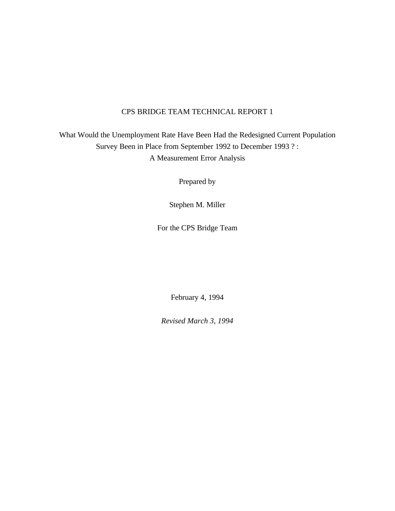# CPS BRIDGE TEAM TECHNICAL REPORT 1

What Would the Unemployment Rate Have Been Had the Redesigned Current Population Survey Been in Place from September 1992 to December 1993 ? : A Measurement Error Analysis

Prepared by

Stephen M. Miller

For the CPS Bridge Team

February 4, 1994

*Revised March 3, 1994*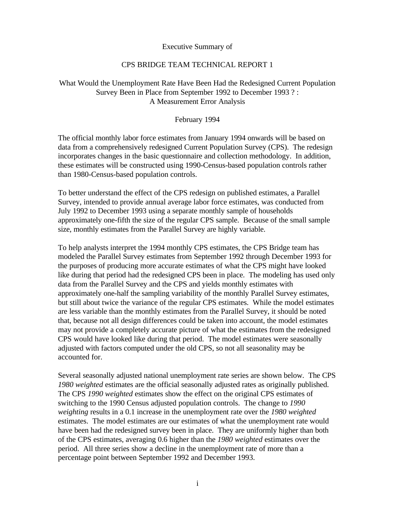Executive Summary of

# CPS BRIDGE TEAM TECHNICAL REPORT 1

# What Would the Unemployment Rate Have Been Had the Redesigned Current Population Survey Been in Place from September 1992 to December 1993 ? : A Measurement Error Analysis

# February 1994

The official monthly labor force estimates from January 1994 onwards will be based on data from a comprehensively redesigned Current Population Survey (CPS). The redesign incorporates changes in the basic questionnaire and collection methodology. In addition, these estimates will be constructed using 1990-Census-based population controls rather than 1980-Census-based population controls.

To better understand the effect of the CPS redesign on published estimates, a Parallel Survey, intended to provide annual average labor force estimates, was conducted from July 1992 to December 1993 using a separate monthly sample of households approximately one-fifth the size of the regular CPS sample. Because of the small sample size, monthly estimates from the Parallel Survey are highly variable.

To help analysts interpret the 1994 monthly CPS estimates, the CPS Bridge team has modeled the Parallel Survey estimates from September 1992 through December 1993 for the purposes of producing more accurate estimates of what the CPS might have looked like during that period had the redesigned CPS been in place. The modeling has used only data from the Parallel Survey and the CPS and yields monthly estimates with approximately one-half the sampling variability of the monthly Parallel Survey estimates, but still about twice the variance of the regular CPS estimates. While the model estimates are less variable than the monthly estimates from the Parallel Survey, it should be noted that, because not all design differences could be taken into account, the model estimates may not provide a completely accurate picture of what the estimates from the redesigned CPS would have looked like during that period. The model estimates were seasonally adjusted with factors computed under the old CPS, so not all seasonality may be accounted for.

Several seasonally adjusted national unemployment rate series are shown below. The CPS *1980 weighted* estimates are the official seasonally adjusted rates as originally published. The CPS *1990 weighted* estimates show the effect on the original CPS estimates of switching to the 1990 Census adjusted population controls. The change to *1990 weighting* results in a 0.1 increase in the unemployment rate over the *1980 weighted* estimates. The model estimates are our estimates of what the unemployment rate would have been had the redesigned survey been in place. They are uniformly higher than both of the CPS estimates, averaging 0.6 higher than the *1980 weighted* estimates over the period. All three series show a decline in the unemployment rate of more than a percentage point between September 1992 and December 1993.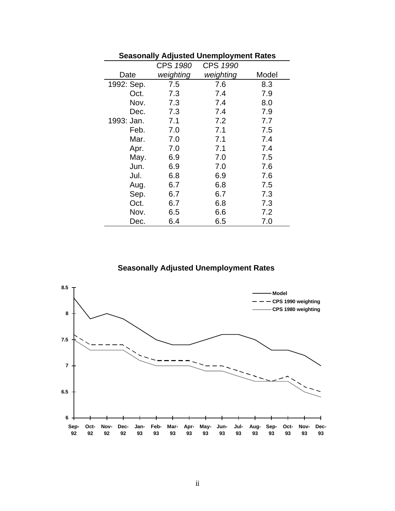|            |           | <b>Seasonally Adjusted Unemployment Rates</b> |       |
|------------|-----------|-----------------------------------------------|-------|
|            | CPS 1980  | CPS 1990                                      |       |
| Date       | weighting | weighting                                     | Model |
| 1992: Sep. | 7.5       | 7.6                                           | 8.3   |
| Oct.       | 7.3       | 7.4                                           | 7.9   |
| Nov.       | 7.3       | 7.4                                           | 8.0   |
| Dec.       | 7.3       | 7.4                                           | 7.9   |
| 1993: Jan. | 7.1       | 7.2                                           | 7.7   |
| Feb.       | 7.0       | 7.1                                           | 7.5   |
| Mar.       | 7.0       | 7.1                                           | 7.4   |
| Apr.       | 7.0       | 7.1                                           | 7.4   |
| May.       | 6.9       | 7.0                                           | 7.5   |
| Jun.       | 6.9       | 7.0                                           | 7.6   |
| Jul.       | 6.8       | 6.9                                           | 7.6   |
| Aug.       | 6.7       | 6.8                                           | 7.5   |
| Sep.       | 6.7       | 6.7                                           | 7.3   |
| Oct.       | 6.7       | 6.8                                           | 7.3   |
| Nov.       | 6.5       | 6.6                                           | 7.2   |
| Dec.       | 6.4       | 6.5                                           | 7.0   |

# **Seasonally Adjusted Unemployment Rates**

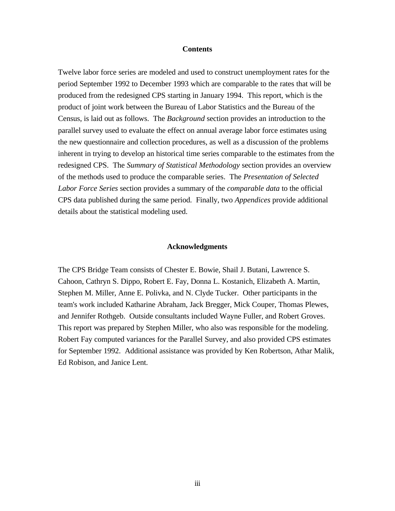### **Contents**

Twelve labor force series are modeled and used to construct unemployment rates for the period September 1992 to December 1993 which are comparable to the rates that will be produced from the redesigned CPS starting in January 1994. This report, which is the product of joint work between the Bureau of Labor Statistics and the Bureau of the Census, is laid out as follows. The *Background* section provides an introduction to the parallel survey used to evaluate the effect on annual average labor force estimates using the new questionnaire and collection procedures, as well as a discussion of the problems inherent in trying to develop an historical time series comparable to the estimates from the redesigned CPS. The *Summary of Statistical Methodology* section provides an overview of the methods used to produce the comparable series. The *Presentation of Selected Labor Force Series* section provides a summary of the *comparable data* to the official CPS data published during the same period. Finally, two *Appendices* provide additional details about the statistical modeling used.

#### **Acknowledgments**

The CPS Bridge Team consists of Chester E. Bowie, Shail J. Butani, Lawrence S. Cahoon, Cathryn S. Dippo, Robert E. Fay, Donna L. Kostanich, Elizabeth A. Martin, Stephen M. Miller, Anne E. Polivka, and N. Clyde Tucker. Other participants in the team's work included Katharine Abraham, Jack Bregger, Mick Couper, Thomas Plewes, and Jennifer Rothgeb. Outside consultants included Wayne Fuller, and Robert Groves. This report was prepared by Stephen Miller, who also was responsible for the modeling. Robert Fay computed variances for the Parallel Survey, and also provided CPS estimates for September 1992. Additional assistance was provided by Ken Robertson, Athar Malik, Ed Robison, and Janice Lent.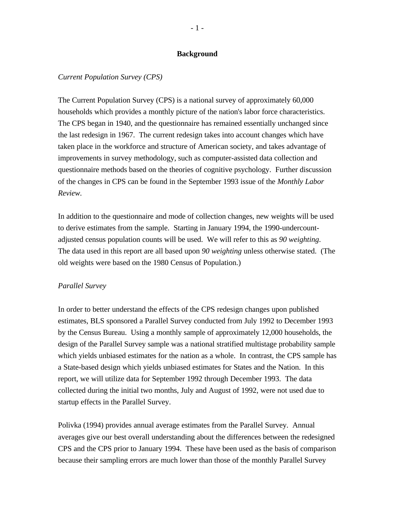### **Background**

### *Current Population Survey (CPS)*

The Current Population Survey (CPS) is a national survey of approximately 60,000 households which provides a monthly picture of the nation's labor force characteristics. The CPS began in 1940, and the questionnaire has remained essentially unchanged since the last redesign in 1967. The current redesign takes into account changes which have taken place in the workforce and structure of American society, and takes advantage of improvements in survey methodology, such as computer-assisted data collection and questionnaire methods based on the theories of cognitive psychology. Further discussion of the changes in CPS can be found in the September 1993 issue of the *Monthly Labor Review*.

In addition to the questionnaire and mode of collection changes, new weights will be used to derive estimates from the sample. Starting in January 1994, the 1990-undercountadjusted census population counts will be used. We will refer to this as *90 weighting*. The data used in this report are all based upon *90 weighting* unless otherwise stated. (The old weights were based on the 1980 Census of Population.)

#### *Parallel Survey*

In order to better understand the effects of the CPS redesign changes upon published estimates, BLS sponsored a Parallel Survey conducted from July 1992 to December 1993 by the Census Bureau. Using a monthly sample of approximately 12,000 households, the design of the Parallel Survey sample was a national stratified multistage probability sample which yields unbiased estimates for the nation as a whole. In contrast, the CPS sample has a State-based design which yields unbiased estimates for States and the Nation. In this report, we will utilize data for September 1992 through December 1993. The data collected during the initial two months, July and August of 1992, were not used due to startup effects in the Parallel Survey.

Polivka (1994) provides annual average estimates from the Parallel Survey. Annual averages give our best overall understanding about the differences between the redesigned CPS and the CPS prior to January 1994. These have been used as the basis of comparison because their sampling errors are much lower than those of the monthly Parallel Survey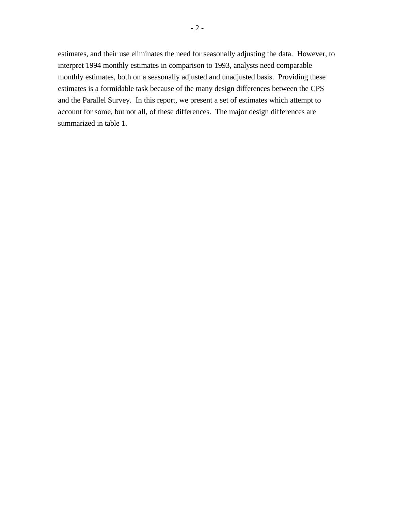estimates, and their use eliminates the need for seasonally adjusting the data. However, to interpret 1994 monthly estimates in comparison to 1993, analysts need comparable monthly estimates, both on a seasonally adjusted and unadjusted basis. Providing these estimates is a formidable task because of the many design differences between the CPS and the Parallel Survey. In this report, we present a set of estimates which attempt to account for some, but not all, of these differences. The major design differences are summarized in table 1.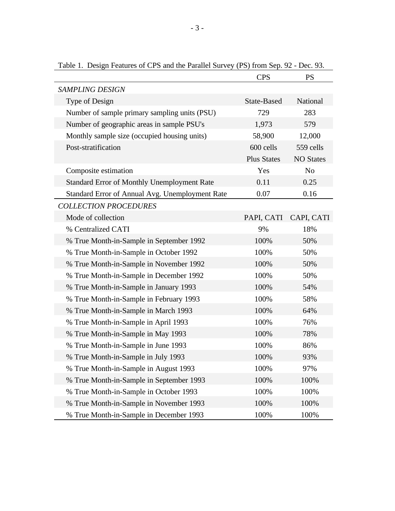|                                                 | <b>CPS</b>         | <b>PS</b>        |
|-------------------------------------------------|--------------------|------------------|
| <b>SAMPLING DESIGN</b>                          |                    |                  |
| Type of Design                                  | State-Based        | National         |
| Number of sample primary sampling units (PSU)   | 729                | 283              |
| Number of geographic areas in sample PSU's      | 1,973              | 579              |
| Monthly sample size (occupied housing units)    | 58,900             | 12,000           |
| Post-stratification                             | 600 cells          | 559 cells        |
|                                                 | <b>Plus States</b> | <b>NO States</b> |
| Composite estimation                            | Yes                | N <sub>o</sub>   |
| Standard Error of Monthly Unemployment Rate     | 0.11               | 0.25             |
| Standard Error of Annual Avg. Unemployment Rate | 0.07               | 0.16             |
| <b>COLLECTION PROCEDURES</b>                    |                    |                  |
| Mode of collection                              | PAPI, CATI         | CAPI, CATI       |
| % Centralized CATI                              | 9%                 | 18%              |
| % True Month-in-Sample in September 1992        | 100%               | 50%              |
| % True Month-in-Sample in October 1992          | 100%               | 50%              |
| % True Month-in-Sample in November 1992         | 100%               | 50%              |
| % True Month-in-Sample in December 1992         | 100%               | 50%              |
| % True Month-in-Sample in January 1993          | 100%               | 54%              |
| % True Month-in-Sample in February 1993         | 100%               | 58%              |
| % True Month-in-Sample in March 1993            | 100%               | 64%              |
| % True Month-in-Sample in April 1993            | 100%               | 76%              |
| % True Month-in-Sample in May 1993              | 100%               | 78%              |
| % True Month-in-Sample in June 1993             | 100%               | 86%              |
| % True Month-in-Sample in July 1993             | 100%               | 93%              |
| % True Month-in-Sample in August 1993           | 100%               | 97%              |
| % True Month-in-Sample in September 1993        | 100%               | 100%             |
| % True Month-in-Sample in October 1993          | 100%               | 100%             |
| % True Month-in-Sample in November 1993         | 100%               | 100%             |
| % True Month-in-Sample in December 1993         | 100%               | 100%             |

Table 1. Design Features of CPS and the Parallel Survey (PS) from Sep. 92 - Dec. 93.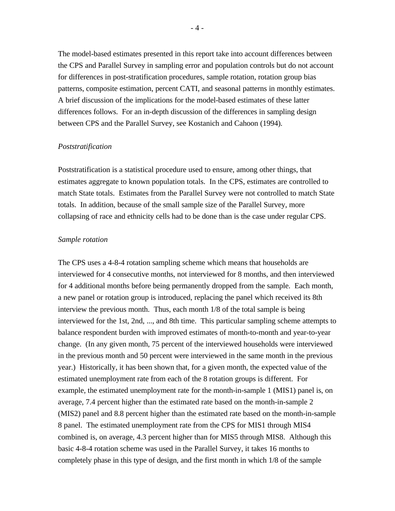The model-based estimates presented in this report take into account differences between the CPS and Parallel Survey in sampling error and population controls but do not account for differences in post-stratification procedures, sample rotation, rotation group bias patterns, composite estimation, percent CATI, and seasonal patterns in monthly estimates. A brief discussion of the implications for the model-based estimates of these latter differences follows. For an in-depth discussion of the differences in sampling design between CPS and the Parallel Survey, see Kostanich and Cahoon (1994).

#### *Poststratification*

Poststratification is a statistical procedure used to ensure, among other things, that estimates aggregate to known population totals. In the CPS, estimates are controlled to match State totals. Estimates from the Parallel Survey were not controlled to match State totals. In addition, because of the small sample size of the Parallel Survey, more collapsing of race and ethnicity cells had to be done than is the case under regular CPS.

#### *Sample rotation*

The CPS uses a 4-8-4 rotation sampling scheme which means that households are interviewed for 4 consecutive months, not interviewed for 8 months, and then interviewed for 4 additional months before being permanently dropped from the sample. Each month, a new panel or rotation group is introduced, replacing the panel which received its 8th interview the previous month. Thus, each month 1/8 of the total sample is being interviewed for the 1st, 2nd, ..., and 8th time. This particular sampling scheme attempts to balance respondent burden with improved estimates of month-to-month and year-to-year change. (In any given month, 75 percent of the interviewed households were interviewed in the previous month and 50 percent were interviewed in the same month in the previous year.) Historically, it has been shown that, for a given month, the expected value of the estimated unemployment rate from each of the 8 rotation groups is different. For example, the estimated unemployment rate for the month-in-sample 1 (MIS1) panel is, on average, 7.4 percent higher than the estimated rate based on the month-in-sample 2 (MIS2) panel and 8.8 percent higher than the estimated rate based on the month-in-sample 8 panel. The estimated unemployment rate from the CPS for MIS1 through MIS4 combined is, on average, 4.3 percent higher than for MIS5 through MIS8. Although this basic 4-8-4 rotation scheme was used in the Parallel Survey, it takes 16 months to completely phase in this type of design, and the first month in which 1/8 of the sample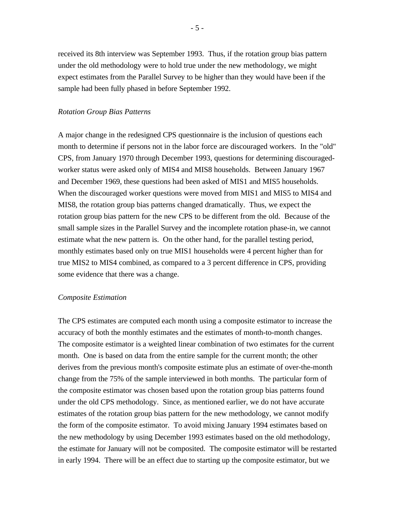received its 8th interview was September 1993. Thus, if the rotation group bias pattern under the old methodology were to hold true under the new methodology, we might expect estimates from the Parallel Survey to be higher than they would have been if the sample had been fully phased in before September 1992.

#### *Rotation Group Bias Patterns*

A major change in the redesigned CPS questionnaire is the inclusion of questions each month to determine if persons not in the labor force are discouraged workers. In the "old" CPS, from January 1970 through December 1993, questions for determining discouragedworker status were asked only of MIS4 and MIS8 households. Between January 1967 and December 1969, these questions had been asked of MIS1 and MIS5 households. When the discouraged worker questions were moved from MIS1 and MIS5 to MIS4 and MIS8, the rotation group bias patterns changed dramatically. Thus, we expect the rotation group bias pattern for the new CPS to be different from the old. Because of the small sample sizes in the Parallel Survey and the incomplete rotation phase-in, we cannot estimate what the new pattern is. On the other hand, for the parallel testing period, monthly estimates based only on true MIS1 households were 4 percent higher than for true MIS2 to MIS4 combined, as compared to a 3 percent difference in CPS, providing some evidence that there was a change.

#### *Composite Estimation*

The CPS estimates are computed each month using a composite estimator to increase the accuracy of both the monthly estimates and the estimates of month-to-month changes. The composite estimator is a weighted linear combination of two estimates for the current month. One is based on data from the entire sample for the current month; the other derives from the previous month's composite estimate plus an estimate of over-the-month change from the 75% of the sample interviewed in both months. The particular form of the composite estimator was chosen based upon the rotation group bias patterns found under the old CPS methodology. Since, as mentioned earlier, we do not have accurate estimates of the rotation group bias pattern for the new methodology, we cannot modify the form of the composite estimator. To avoid mixing January 1994 estimates based on the new methodology by using December 1993 estimates based on the old methodology, the estimate for January will not be composited. The composite estimator will be restarted in early 1994. There will be an effect due to starting up the composite estimator, but we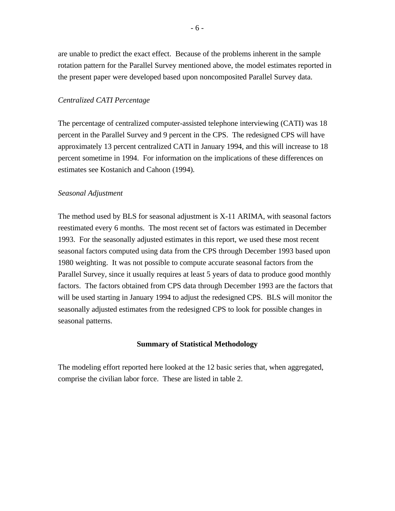are unable to predict the exact effect. Because of the problems inherent in the sample rotation pattern for the Parallel Survey mentioned above, the model estimates reported in the present paper were developed based upon noncomposited Parallel Survey data.

### *Centralized CATI Percentage*

The percentage of centralized computer-assisted telephone interviewing (CATI) was 18 percent in the Parallel Survey and 9 percent in the CPS. The redesigned CPS will have approximately 13 percent centralized CATI in January 1994, and this will increase to 18 percent sometime in 1994. For information on the implications of these differences on estimates see Kostanich and Cahoon (1994).

## *Seasonal Adjustment*

The method used by BLS for seasonal adjustment is X-11 ARIMA, with seasonal factors reestimated every 6 months. The most recent set of factors was estimated in December 1993. For the seasonally adjusted estimates in this report, we used these most recent seasonal factors computed using data from the CPS through December 1993 based upon 1980 weighting. It was not possible to compute accurate seasonal factors from the Parallel Survey, since it usually requires at least 5 years of data to produce good monthly factors. The factors obtained from CPS data through December 1993 are the factors that will be used starting in January 1994 to adjust the redesigned CPS. BLS will monitor the seasonally adjusted estimates from the redesigned CPS to look for possible changes in seasonal patterns.

#### **Summary of Statistical Methodology**

The modeling effort reported here looked at the 12 basic series that, when aggregated, comprise the civilian labor force. These are listed in table 2.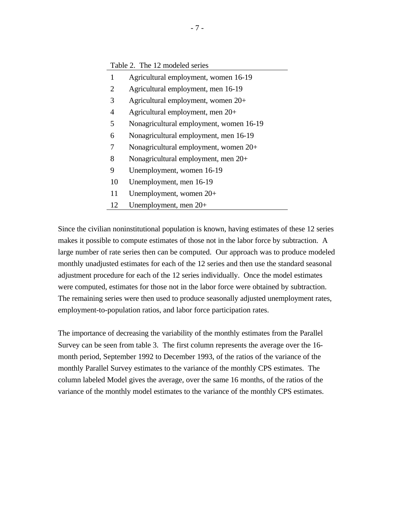|                | Table 2. The 12 modeled series          |
|----------------|-----------------------------------------|
| 1              | Agricultural employment, women 16-19    |
| 2              | Agricultural employment, men 16-19      |
| 3              | Agricultural employment, women $20+$    |
| $\overline{4}$ | Agricultural employment, men 20+        |
| 5              | Nonagricultural employment, women 16-19 |
| 6              | Nonagricultural employment, men 16-19   |
| 7              | Nonagricultural employment, women $20+$ |
| 8              | Nonagricultural employment, men $20+$   |
| 9              | Unemployment, women 16-19               |
| 10             | Unemployment, men 16-19                 |
| 11             | Unemployment, women $20+$               |
| 12             | Unemployment, men 20+                   |

Since the civilian noninstitutional population is known, having estimates of these 12 series makes it possible to compute estimates of those not in the labor force by subtraction. A large number of rate series then can be computed. Our approach was to produce modeled monthly unadjusted estimates for each of the 12 series and then use the standard seasonal adjustment procedure for each of the 12 series individually. Once the model estimates were computed, estimates for those not in the labor force were obtained by subtraction. The remaining series were then used to produce seasonally adjusted unemployment rates, employment-to-population ratios, and labor force participation rates.

The importance of decreasing the variability of the monthly estimates from the Parallel Survey can be seen from table 3. The first column represents the average over the 16 month period, September 1992 to December 1993, of the ratios of the variance of the monthly Parallel Survey estimates to the variance of the monthly CPS estimates. The column labeled Model gives the average, over the same 16 months, of the ratios of the variance of the monthly model estimates to the variance of the monthly CPS estimates.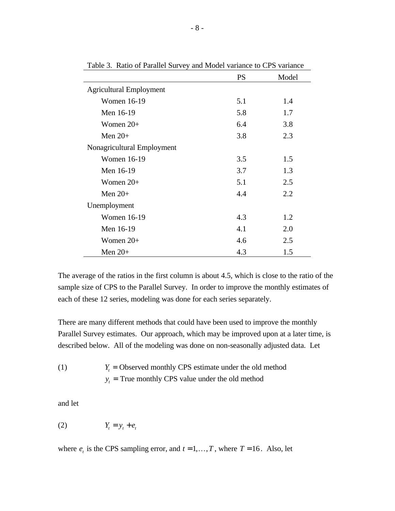|                                | <b>PS</b> | Model |
|--------------------------------|-----------|-------|
| <b>Agricultural Employment</b> |           |       |
| <b>Women 16-19</b>             | 5.1       | 1.4   |
| Men 16-19                      | 5.8       | 1.7   |
| Women $20+$                    | 6.4       | 3.8   |
| Men $20+$                      | 3.8       | 2.3   |
| Nonagricultural Employment     |           |       |
| <b>Women 16-19</b>             | 3.5       | 1.5   |
| Men 16-19                      | 3.7       | 1.3   |
| Women 20+                      | 5.1       | 2.5   |
| Men $20+$                      | 4.4       | 2.2   |
| Unemployment                   |           |       |
| <b>Women 16-19</b>             | 4.3       | 1.2   |
| Men 16-19                      | 4.1       | 2.0   |
| Women $20+$                    | 4.6       | 2.5   |
| Men $20+$                      | 4.3       | 1.5   |

Table 3. Ratio of Parallel Survey and Model variance to CPS variance

The average of the ratios in the first column is about 4.5, which is close to the ratio of the sample size of CPS to the Parallel Survey. In order to improve the monthly estimates of each of these 12 series, modeling was done for each series separately.

There are many different methods that could have been used to improve the monthly Parallel Survey estimates. Our approach, which may be improved upon at a later time, is described below. All of the modeling was done on non-seasonally adjusted data. Let

(1) 
$$
Y_t
$$
 = Observed monthly CPS estimate under the old method  $y_t$  = True monthly CPS value under the old method

and let

$$
(2) \t Y_t = y_t + e_t
$$

where  $e_t$  is the CPS sampling error, and  $t = 1, ..., T$ , where  $T = 16$ . Also, let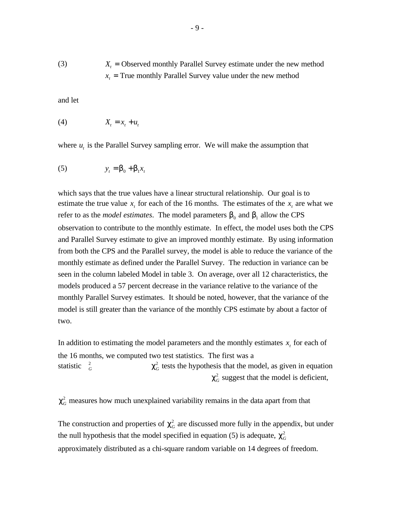(3) 
$$
X_t
$$
 = Observed monthly Parallel Survey estimate under the new method  $x_t$  = True monthly Parallel Survey value under the new method

and let

$$
(4) \t\t X_t = x_t + u_t
$$

where  $u_t$  is the Parallel Survey sampling error. We will make the assumption that

$$
(5) \t yt = b0 + b1xt
$$

which says that the true values have a linear structural relationship. Our goal is to estimate the true value  $x<sub>t</sub>$  for each of the 16 months. The estimates of the  $x<sub>t</sub>$  are what we refer to as the *model estimates*. The model parameters  $b_0$  and  $b_1$  allow the CPS observation to contribute to the monthly estimate. In effect, the model uses both the CPS and Parallel Survey estimate to give an improved monthly estimate. By using information from both the CPS and the Parallel survey, the model is able to reduce the variance of the monthly estimate as defined under the Parallel Survey. The reduction in variance can be seen in the column labeled Model in table 3. On average, over all 12 characteristics, the models produced a 57 percent decrease in the variance relative to the variance of the monthly Parallel Survey estimates. It should be noted, however, that the variance of the model is still greater than the variance of the monthly CPS estimate by about a factor of two.

In addition to estimating the model parameters and the monthly estimates  $x<sub>t</sub>$  for each of the 16 months, we computed two test statistics. The first was a statistic  $\frac{2}{G}$  $c<sub>G</sub><sup>2</sup>$  tests the hypothesis that the model, as given in equation  $c_G^2$  suggest that the model is deficient,

 $c<sub>G</sub><sup>2</sup>$  measures how much unexplained variability remains in the data apart from that

The construction and properties of  $c<sub>G</sub><sup>2</sup>$  are discussed more fully in the appendix, but under the null hypothesis that the model specified in equation (5) is adequate,  $c_G^2$ approximately distributed as a chi-square random variable on 14 degrees of freedom.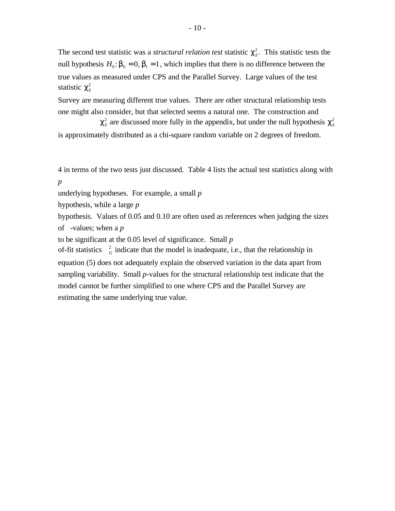The second test statistic was a *structural relation test* statistic  $c_s^2$ . This statistic tests the null hypothesis  $H_0$ :  $b_0 = 0$ ,  $b_1 = 1$ , which implies that there is no difference between the true values as measured under CPS and the Parallel Survey. Large values of the test statistic  $c_s^2$ 

Survey are measuring different true values. There are other structural relationship tests one might also consider, but that selected seems a natural one. The construction and

 $c_s^2$  are discussed more fully in the appendix, but under the null hypothesis  $c_s^2$ is approximately distributed as a chi-square random variable on 2 degrees of freedom.

4 in terms of the two tests just discussed. Table 4 lists the actual test statistics along with *p*

underlying hypotheses. For example, a small *p*

hypothesis, while a large *p*

hypothesis. Values of 0.05 and 0.10 are often used as references when judging the sizes of -values; when a *p*

to be significant at the 0.05 level of significance. Small *p*

of-fit statistics  $\frac{2}{G}$  indicate that the model is inadequate, i.e., that the relationship in equation (5) does not adequately explain the observed variation in the data apart from sampling variability. Small *p*-values for the structural relationship test indicate that the model cannot be further simplified to one where CPS and the Parallel Survey are estimating the same underlying true value.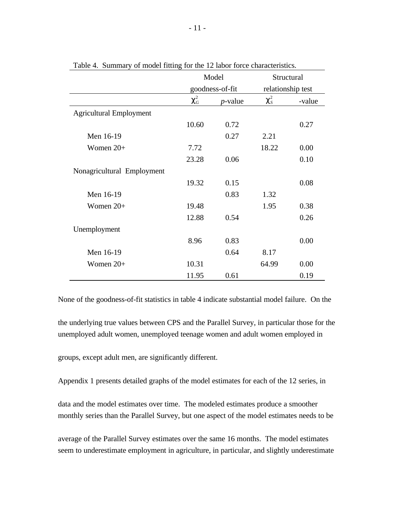|                                |         | Model           | Structural        |        |
|--------------------------------|---------|-----------------|-------------------|--------|
|                                |         | goodness-of-fit | relationship test |        |
|                                | $C_G^2$ | $p$ -value      | $C_S^2$           | -value |
| <b>Agricultural Employment</b> |         |                 |                   |        |
|                                | 10.60   | 0.72            |                   | 0.27   |
| Men 16-19                      |         | 0.27            | 2.21              |        |
| Women $20+$                    | 7.72    |                 | 18.22             | 0.00   |
|                                | 23.28   | 0.06            |                   | 0.10   |
| Nonagricultural Employment     |         |                 |                   |        |
|                                | 19.32   | 0.15            |                   | 0.08   |
| Men 16-19                      |         | 0.83            | 1.32              |        |
| Women $20+$                    | 19.48   |                 | 1.95              | 0.38   |
|                                | 12.88   | 0.54            |                   | 0.26   |
| Unemployment                   |         |                 |                   |        |
|                                | 8.96    | 0.83            |                   | 0.00   |
| Men 16-19                      |         | 0.64            | 8.17              |        |
| Women $20+$                    | 10.31   |                 | 64.99             | 0.00   |
|                                | 11.95   | 0.61            |                   | 0.19   |

Table 4. Summary of model fitting for the 12 labor force characteristics.

None of the goodness-of-fit statistics in table 4 indicate substantial model failure. On the

the underlying true values between CPS and the Parallel Survey, in particular those for the unemployed adult women, unemployed teenage women and adult women employed in

groups, except adult men, are significantly different.

Appendix 1 presents detailed graphs of the model estimates for each of the 12 series, in

data and the model estimates over time. The modeled estimates produce a smoother monthly series than the Parallel Survey, but one aspect of the model estimates needs to be

average of the Parallel Survey estimates over the same 16 months. The model estimates seem to underestimate employment in agriculture, in particular, and slightly underestimate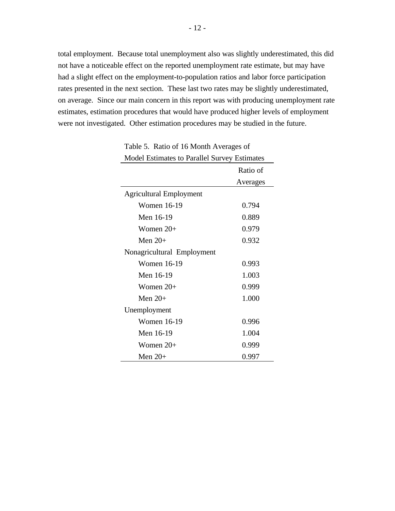total employment. Because total unemployment also was slightly underestimated, this did not have a noticeable effect on the reported unemployment rate estimate, but may have had a slight effect on the employment-to-population ratios and labor force participation rates presented in the next section. These last two rates may be slightly underestimated, on average. Since our main concern in this report was with producing unemployment rate estimates, estimation procedures that would have produced higher levels of employment were not investigated. Other estimation procedures may be studied in the future.

| <b>Model Estimates to Parallel Survey Estimates</b> |          |  |  |  |  |  |  |  |  |
|-----------------------------------------------------|----------|--|--|--|--|--|--|--|--|
|                                                     | Ratio of |  |  |  |  |  |  |  |  |
|                                                     | Averages |  |  |  |  |  |  |  |  |
| <b>Agricultural Employment</b>                      |          |  |  |  |  |  |  |  |  |
| <b>Women 16-19</b>                                  | 0.794    |  |  |  |  |  |  |  |  |
| Men 16-19                                           | 0.889    |  |  |  |  |  |  |  |  |
| Women $20+$                                         | 0.979    |  |  |  |  |  |  |  |  |
| Men $20+$                                           | 0.932    |  |  |  |  |  |  |  |  |
| Nonagricultural Employment                          |          |  |  |  |  |  |  |  |  |
| Women 16-19                                         | 0.993    |  |  |  |  |  |  |  |  |
| Men 16-19                                           | 1.003    |  |  |  |  |  |  |  |  |
| Women $20+$                                         | 0.999    |  |  |  |  |  |  |  |  |
| Men $20+$                                           | 1.000    |  |  |  |  |  |  |  |  |
| Unemployment                                        |          |  |  |  |  |  |  |  |  |
| <b>Women 16-19</b>                                  | 0.996    |  |  |  |  |  |  |  |  |
| Men 16-19                                           | 1.004    |  |  |  |  |  |  |  |  |
| Women $20+$                                         | 0.999    |  |  |  |  |  |  |  |  |
| Men $20+$                                           | 0.997    |  |  |  |  |  |  |  |  |

Table 5. Ratio of 16 Month Averages of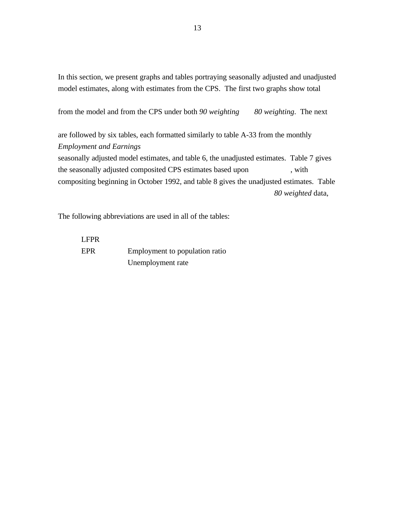In this section, we present graphs and tables portraying seasonally adjusted and unadjusted model estimates, along with estimates from the CPS. The first two graphs show total

from the model and from the CPS under both *90 weighting 80 weighting*. The next

are followed by six tables, each formatted similarly to table A-33 from the monthly *Employment and Earnings*  seasonally adjusted model estimates, and table 6, the unadjusted estimates. Table 7 gives

the seasonally adjusted composited CPS estimates based upon , with compositing beginning in October 1992, and table 8 gives the unadjusted estimates. Table *80 weighted* data,

The following abbreviations are used in all of the tables:

LFPR EPR Employment to population ratio Unemployment rate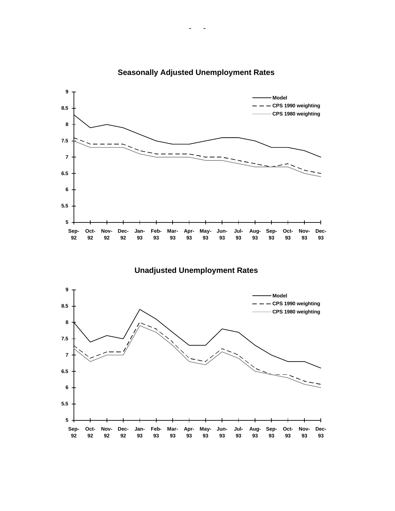

# **Seasonally Adjusted Unemployment Rates**

# **Unadjusted Unemployment Rates**

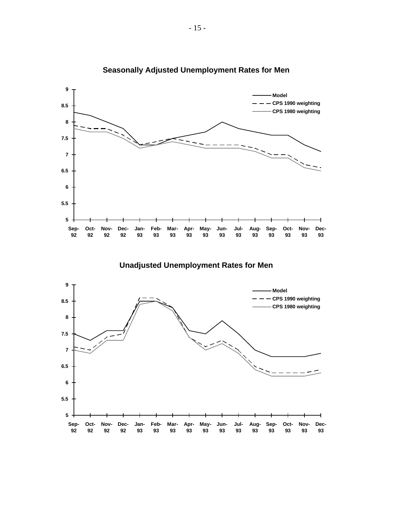

# **Seasonally Adjusted Unemployment Rates for Men**

**Unadjusted Unemployment Rates for Men** 

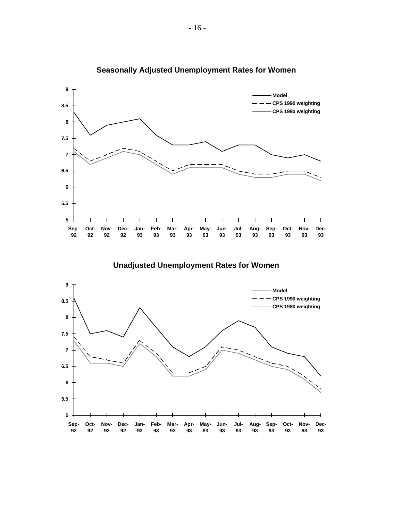

# **Seasonally Adjusted Unemployment Rates for Women**

**Unadjusted Unemployment Rates for Women** 

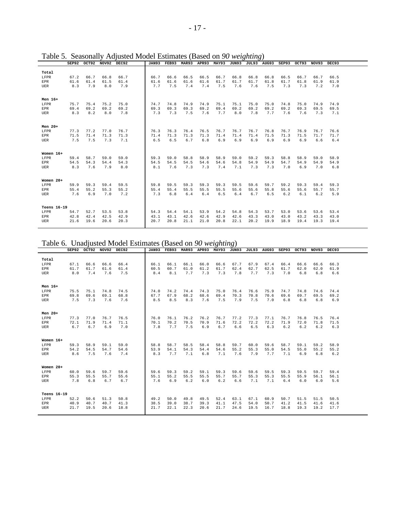|             | SEP92 |      | OCT92 NOV92 | DEC92 | <b>JAN93</b> | FEB93 | <b>MAR93</b> | APR93 | <b>MAY93</b> | JUN93 | JUL93 AUG93 |      | SEP93 | OCT93 | NOV93 | DEC <sub>93</sub> |  |
|-------------|-------|------|-------------|-------|--------------|-------|--------------|-------|--------------|-------|-------------|------|-------|-------|-------|-------------------|--|
|             |       |      |             |       |              |       |              |       |              |       |             |      |       |       |       |                   |  |
| Total       |       |      |             |       |              |       |              |       |              |       |             |      |       |       |       |                   |  |
| LFPR        | 67.2  | 66.7 | 66.8        | 66.7  | 66.7         | 66.6  | 66.5         | 66.5  | 66.7         | 66.8  | 66.8        | 66.8 | 66.5  | 66.7  | 66.7  | 66.5              |  |
| <b>EPR</b>  | 61.6  | 61.4 | 61.5        | 61.4  | 61.6         | 61.6  | 61.6         | 61.6  | 61.7         | 61.7  | 61.7        | 61.8 | 61.7  | 61.8  | 61.9  | 61.9              |  |
| <b>UER</b>  | 8.3   | 7.9  | 8.0         | 7.9   | 7.7          | 7.5   | 7.4          | 7.4   | 7.5          | 7.6   | 7.6         | 7.5  | 7.3   | 7.3   | 7.2   | 7.0               |  |
|             |       |      |             |       |              |       |              |       |              |       |             |      |       |       |       |                   |  |
|             |       |      |             |       |              |       |              |       |              |       |             |      |       |       |       |                   |  |
| Men 16+     |       |      |             |       |              |       |              |       |              |       |             |      |       |       |       |                   |  |
| LFPR        | 75.7  | 75.4 | 75.2        | 75.0  | 74.7         | 74.8  | 74.9         | 74.9  | 75.1         | 75.1  | 75.0        | 75.0 | 74.8  | 75.0  | 74.9  | 74.9              |  |
| <b>EPR</b>  | 69.4  | 69.2 | 69.2        | 69.2  | 69.3         | 69.3  | 69.3         | 69.2  | 69.4         | 69.2  | 69.2        | 69.2 | 69.2  | 69.3  | 69.5  | 69.5              |  |
| UER         | 8.3   | 8.2  | 8.0         | 7.8   | 7.3          | 7.3   | 7.5          | 7.6   | 7.7          | 8.0   | 7.8         | 7.7  | 7.6   | 7.6   | 7.3   | 7.1               |  |
|             |       |      |             |       |              |       |              |       |              |       |             |      |       |       |       |                   |  |
|             |       |      |             |       |              |       |              |       |              |       |             |      |       |       |       |                   |  |
| Men $20+$   |       |      |             |       |              |       |              |       |              |       |             |      |       |       |       |                   |  |
| LFPR        | 77.3  | 77.2 | 77.0        | 76.7  | 76.3         | 76.3  | 76.4         | 76.5  | 76.7         | 76.7  | 76.7        | 76.8 | 76.7  | 76.9  | 76.7  | 76.6              |  |
| <b>EPR</b>  | 71.5  | 71.4 | 71.3        | 71.3  | 71.4         | 71.3  | 71.3         | 71.3  | 71.4         | 71.4  | 71.4        | 71.5 | 71.3  | 71.5  | 71.7  | 71.7              |  |
| UER         | 7.5   | 7.5  | 7.3         | 7.1   | 6.5          | 6.5   | 6.7          | 6.8   | 6.9          | 6.9   | 6.9         | 6.9  | 6.9   | 6.9   | 6.6   | 6.4               |  |
|             |       |      |             |       |              |       |              |       |              |       |             |      |       |       |       |                   |  |
|             |       |      |             |       |              |       |              |       |              |       |             |      |       |       |       |                   |  |
| Women 16+   |       |      |             |       |              |       |              |       |              |       |             |      |       |       |       |                   |  |
| LFPR        | 59.4  | 58.7 | 59.0        | 59.0  | 59.3         | 59.0  | 58.8         | 58.9  | 58.9         | 59.0  | 59.2        | 59.3 | 58.8  | 58.9  | 59.0  | 58.9              |  |
| <b>EPR</b>  | 54.5  | 54.3 | 54.4        | 54.3  | 54.5         | 54.5  | 54.5         | 54.6  | 54.6         | 54.8  | 54.9        | 54.9 | 54.7  | 54.9  | 54.9  | 54.9              |  |
| UER         | 8.3   | 7.6  | 7.9         | 8.0   | 8.1          | 7.6   | 7.3          | 7.3   | 7.4          | 7.1   | 7.3         | 7.3  | 7.0   | 6.9   | 7.0   | 6.8               |  |
|             |       |      |             |       |              |       |              |       |              |       |             |      |       |       |       |                   |  |
|             |       |      |             |       |              |       |              |       |              |       |             |      |       |       |       |                   |  |
| Women 20+   |       |      |             |       |              |       |              |       |              |       |             |      |       |       |       |                   |  |
| LFPR        | 59.9  | 59.3 | 59.4        | 59.5  | 59.8         | 59.5  | 59.3         | 59.3  | 59.3         | 59.5  | 59.6        | 59.7 | 59.2  | 59.3  | 59.4  | 59.3              |  |
| <b>EPR</b>  | 55.4  | 55.2 | 55.3        | 55.2  | 55.4         | 55.4  | 55.5         | 55.5  | 55.5         | 55.6  | 55.6        | 55.8 | 55.6  | 55.6  | 55.7  | 55.7              |  |
| <b>UER</b>  | 7.6   | 6.9  | 7.0         | 7.2   | 7.3          | 6.8   | 6.4          | 6.4   | 6.5          | 6.4   | 6.7         | 6.5  | 6.2   | 6.1   | 6.2   | 5.9               |  |
|             |       |      |             |       |              |       |              |       |              |       |             |      |       |       |       |                   |  |
|             |       |      |             |       |              |       |              |       |              |       |             |      |       |       |       |                   |  |
| Teens 16-19 |       |      |             |       |              |       |              |       |              |       |             |      |       |       |       |                   |  |
| LFPR        | 54.7  | 52.7 | 53.5        | 53.8  | 54.3         | 54.4  | 54.1         | 53.9  | 54.2         | 54.8  | 54.3        | 53.7 | 53.0  | 53.6  | 53.6  | 53.4              |  |
| <b>EPR</b>  | 42.8  | 42.4 | 42.5        | 42.9  | 43.1         | 43.1  | 42.6         | 42.6  | 42.9         | 42.6  | 43.3        | 43.0 | 43.0  | 43.2  | 43.3  | 43.0              |  |
| <b>UER</b>  | 21.6  | 19.6 | 20.6        | 20.3  | 20.7         | 20.8  | 21.1         | 21.0  | 20.8         | 22.1  | 20.2        | 19.9 | 18.9  | 19.4  | 19.3  | 19.4              |  |
|             |       |      |             |       |              |       |              |       |              |       |             |      |       |       |       |                   |  |

Table 5. Seasonally Adjusted Model Estimates (Based on *90 weighting*)

Table 6. Unadjusted Model Estimates (Based on *90 weighting*)

|             | SEP92 | OCT92 | NOV92 | DEC92 | <b>JAN93</b> | FEB93 | <b>MAR93</b> | APR93 | MAY93 | JUN93 | JUL93 | AUG93 | SEP93 | OCT93 | NOV93 | DEC93 |  |
|-------------|-------|-------|-------|-------|--------------|-------|--------------|-------|-------|-------|-------|-------|-------|-------|-------|-------|--|
|             |       |       |       |       |              |       |              |       |       |       |       |       |       |       |       |       |  |
| Total       |       |       |       |       |              |       |              |       |       |       |       |       |       |       |       |       |  |
| LFPR        | 67.1  | 66.6  | 66.6  | 66.4  | 66.1         | 66.1  | 66.1         | 66.0  | 66.6  | 67.7  | 67.9  | 67.4  | 66.4  | 66.6  | 66.6  | 66.3  |  |
| EPR         | 61.7  | 61.7  | 61.6  | 61.4  | 60.5         | 60.7  | 61.0         | 61.2  | 61.7  | 62.4  | 62.7  | 62.5  | 61.7  | 62.0  | 62.0  | 61.9  |  |
| UER         | 8.0   | 7.4   | 7.6   | 7.5   | 8.4          | 8.1   | 7.7          | 7.3   | 7.3   | 7.8   | 7.7   | 7.3   | 7.0   | 6.8   | 6.8   | 6.6   |  |
|             |       |       |       |       |              |       |              |       |       |       |       |       |       |       |       |       |  |
| Men 16+     |       |       |       |       |              |       |              |       |       |       |       |       |       |       |       |       |  |
| LFPR        | 75.5  | 75.1  | 74.8  | 74.5  | 74.0         | 74.2  | 74.4         | 74.3  | 75.0  | 76.4  | 76.6  | 75.9  | 74.7  | 74.8  | 74.6  | 74.4  |  |
| <b>EPR</b>  | 69.8  | 69.6  | 69.1  | 68.8  | 67.7         | 67.9  | 68.2         | 68.6  | 69.4  | 70.3  | 70.8  | 70.6  | 69.6  | 69.7  | 69.5  | 69.2  |  |
| <b>UER</b>  | 7.5   | 7.3   | 7.6   | 7.6   | 8.5          | 8.5   | 8.3          | 7.6   | 7.5   | 7.9   | 7.5   | 7.0   | 6.8   | 6.8   | 6.8   | 6.9   |  |
|             |       |       |       |       |              |       |              |       |       |       |       |       |       |       |       |       |  |
|             |       |       |       |       |              |       |              |       |       |       |       |       |       |       |       |       |  |
| Men $20+$   |       |       |       |       |              |       |              |       |       |       |       |       |       |       |       |       |  |
| LFPR        | 77.3  | 77.0  | 76.7  | 76.5  | 76.0         | 76.1  | 76.2         | 76.2  | 76.7  | 77.2  | 77.3  | 77.1  | 76.7  | 76.8  | 76.5  | 76.4  |  |
| <b>EPR</b>  | 72.1  | 71.9  | 71.4  | 71.1  | 70.1         | 70.2  | 70.5         | 70.9  | 71.6  | 72.2  | 72.2  | 72.2  | 71.9  | 72.0  | 71.8  | 71.5  |  |
| <b>UER</b>  | 6.7   | 6.7   | 6.9   | 7.0   | 7.8          | 7.7   | 7.5          | 6.9   | 6.7   | 6.6   | 6.5   | 6.3   | 6.2   | 6.2   | 6.2   | 6.3   |  |
|             |       |       |       |       |              |       |              |       |       |       |       |       |       |       |       |       |  |
| Women 16+   |       |       |       |       |              |       |              |       |       |       |       |       |       |       |       |       |  |
| LFPR        | 59.3  | 58.9  | 59.1  | 59.0  | 58.8         | 58.7  | 58.5         | 58.4  | 58.8  | 59.7  | 60.0  | 59.6  | 58.7  | 59.1  | 59.2  | 58.9  |  |
| <b>EPR</b>  | 54.2  | 54.5  | 54.7  | 54.6  | 53.9         | 54.1  | 54.3         | 54.4  | 54.6  | 55.2  | 55.3  | 55.0  | 54.5  | 55.0  | 55.2  | 55.2  |  |
| <b>UER</b>  | 8.6   | 7.5   | 7.6   | 7.4   | 8.3          | 7.7   | 7.1          | 6.8   | 7.1   | 7.6   | 7.9   | 7.7   | 7.1   | 6.9   | 6.8   | 6.2   |  |
|             |       |       |       |       |              |       |              |       |       |       |       |       |       |       |       |       |  |
|             |       |       |       |       |              |       |              |       |       |       |       |       |       |       |       |       |  |
| Women 20+   |       |       |       |       |              |       |              |       |       |       |       |       |       |       |       |       |  |
| LFPR        | 60.0  | 59.6  | 59.7  | 59.6  | 59.6         | 59.3  | 59.2         | 59.1  | 59.3  | 59.6  | 59.6  | 59.5  | 59.3  | 59.5  | 59.7  | 59.4  |  |
| <b>EPR</b>  | 55.3  | 55.5  | 55.7  | 55.6  | 55.1         | 55.2  | 55.5         | 55.5  | 55.7  | 55.7  | 55.3  | 55.3  | 55.5  | 55.9  | 56.1  | 56.1  |  |
| <b>UER</b>  | 7.8   | 6.8   | 6.7   | 6.7   | 7.6          | 6.9   | 6.2          | 6.0   | 6.2   | 6.6   | 7.1   | 7.1   | 6.4   | 6.0   | 6.0   | 5.6   |  |
|             |       |       |       |       |              |       |              |       |       |       |       |       |       |       |       |       |  |
| Teens 16-19 |       |       |       |       |              |       |              |       |       |       |       |       |       |       |       |       |  |
| LFPR        | 52.2  | 50.6  | 51.3  | 50.8  | 49.2         | 50.0  | 49.8         | 49.5  | 52.4  | 63.1  | 67.1  | 60.9  | 50.7  | 51.5  | 51.5  | 50.5  |  |
| <b>EPR</b>  | 40.9  | 40.7  | 40.7  | 41.3  | 38.5         | 39.0  | 38.7         | 39.3  | 41.1  | 47.5  | 54.0  | 50.7  | 41.2  | 41.5  | 41.6  | 41.6  |  |
| UER         | 21.7  | 19.5  | 20.6  | 18.8  | 21.7         | 22.1  | 22.3         | 20.6  | 21.7  | 24.6  | 19.5  | 16.7  | 18.8  | 19.3  | 19.2  | 17.7  |  |
|             |       |       |       |       |              |       |              |       |       |       |       |       |       |       |       |       |  |
|             |       |       |       |       |              |       |              |       |       |       |       |       |       |       |       |       |  |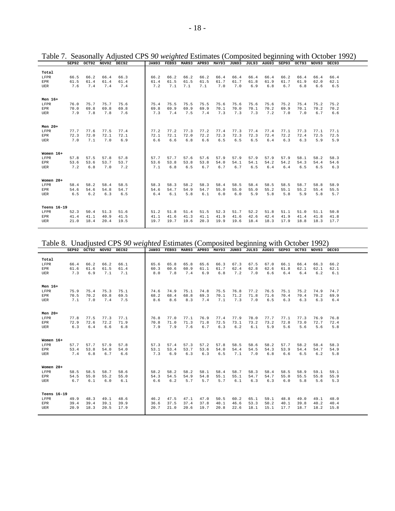|             |      | SEP92 OCT92 | NOV92 | DEC92 | <b>JAN93</b> | FEB93 | <b>MAR93</b> | APR93 | <b>MAY93</b> | JUN93 | JUL93 | <b>AUG93</b> | <b>SEP93</b> | OCT93 | NOV93 | DEC93 |  |
|-------------|------|-------------|-------|-------|--------------|-------|--------------|-------|--------------|-------|-------|--------------|--------------|-------|-------|-------|--|
|             |      |             |       |       |              |       |              |       |              |       |       |              |              |       |       |       |  |
| Total       |      |             |       |       |              |       |              |       |              |       |       |              |              |       |       |       |  |
| LFPR        | 66.5 | 66.2        | 66.4  | 66.3  | 66.2         | 66.2  | 66.2         | 66.2  | 66.4         | 66.4  | 66.4  | 66.4         | 66.2         | 66.4  | 66.4  | 66.4  |  |
| <b>EPR</b>  | 61.5 | 61.4        | 61.4  | 61.4  | 61.4         | 61.5  | 61.5         | 61.5  | 61.7         | 61.7  | 61.8  | 61.9         | 61.7         | 61.9  | 62.0  | 62.1  |  |
| <b>UER</b>  | 7.6  | 7.4         | 7.4   | 7.4   | 7.2          | 7.1   | 7.1          | 7.1   | 7.0          | 7.0   | 6.9   | 6.8          | 6.7          | 6.8   | 6.6   | 6.5   |  |
|             |      |             |       |       |              |       |              |       |              |       |       |              |              |       |       |       |  |
|             |      |             |       |       |              |       |              |       |              |       |       |              |              |       |       |       |  |
| Men 16+     |      |             |       |       |              |       |              |       |              |       |       |              |              |       |       |       |  |
| LFPR        | 76.0 | 75.7        | 75.7  | 75.6  | 75.4         | 75.5  | 75.5         | 75.5  | 75.6         | 75.6  | 75.6  | 75.6         | 75.2         | 75.4  | 75.2  | 75.2  |  |
| <b>EPR</b>  | 70.0 | 69.8        | 69.8  | 69.8  | 69.8         | 69.9  | 69.9         | 69.9  | 70.1         | 70.0  | 70.1  | 70.2         | 69.9         | 70.1  | 70.2  | 70.2  |  |
| UER         | 7.9  | 7.8         | 7.8   | 7.6   | 7.3          | 7.4   | 7.5          | 7.4   | 7.3          | 7.3   | 7.3   | 7.2          | 7.0          | 7.0   | 6.7   | 6.6   |  |
|             |      |             |       |       |              |       |              |       |              |       |       |              |              |       |       |       |  |
|             |      |             |       |       |              |       |              |       |              |       |       |              |              |       |       |       |  |
| Men $20+$   |      |             |       |       |              |       |              |       |              |       |       |              |              |       |       |       |  |
| LFPR        | 77.7 | 77.6        | 77.5  | 77.4  | 77.2         | 77.2  | 77.3         | 77.2  | 77.4         | 77.3  | 77.4  | 77.4         | 77.1         | 77.3  | 77.1  | 77.1  |  |
| <b>EPR</b>  | 72.3 | 72.0        | 72.1  | 72.1  | 72.1         | 72.1  | 72.0         | 72.2  | 72.3         | 72.3  | 72.3  | 72.4         | 72.2         | 72.4  | 72.5  | 72.5  |  |
| UER         | 7.0  | 7.1         | 7.0   | 6.9   | 6.6          | 6.6   | 6.8          | 6.6   | 6.5          | 6.5   | 6.5   | 6.4          | 6.3          | 6.3   | 5.9   | 5.9   |  |
|             |      |             |       |       |              |       |              |       |              |       |       |              |              |       |       |       |  |
|             |      |             |       |       |              |       |              |       |              |       |       |              |              |       |       |       |  |
| Women 16+   |      |             |       |       |              |       |              |       |              |       |       |              |              |       |       |       |  |
| LFPR        | 57.8 | 57.5        | 57.8  | 57.8  | 57.7         | 57.7  | 57.6         | 57.6  | 57.9         | 57.9  | 57.9  | 57.9         | 57.9         | 58.1  | 58.2  | 58.3  |  |
| <b>EPR</b>  | 53.6 | 53.6        | 53.7  | 53.7  | 53.6         | 53.8  | 53.8         | 53.8  | 54.0         | 54.1  | 54.1  | 54.2         | 54.2         | 54.3  | 54.4  | 54.6  |  |
| UER         | 7.2  | 6.8         | 7.0   | 7.2   | 7.1          | 6.8   | 6.5          | 6.7   | 6.7          | 6.7   | 6.5   | 6.4          | 6.4          | 6.5   | 6.5   | 6.3   |  |
|             |      |             |       |       |              |       |              |       |              |       |       |              |              |       |       |       |  |
|             |      |             |       |       |              |       |              |       |              |       |       |              |              |       |       |       |  |
| Women $20+$ |      |             |       |       |              |       |              |       |              |       |       |              |              |       |       |       |  |
| LFPR        | 58.4 | 58.2        | 58.4  | 58.5  | 58.3         | 58.3  | 58.2         | 58.3  | 58.4         | 58.5  | 58.4  | 58.5         | 58.5         | 58.7  | 58.8  | 58.9  |  |
| EPR         | 54.6 | 54.6        | 54.8  | 54.7  | 54.6         | 54.7  | 54.9         | 54.7  | 55.0         | 55.0  | 55.0  | 55.2         | 55.1         | 55.2  | 55.4  | 55.5  |  |
| <b>UER</b>  | 6.5  | 6.2         | 6.3   | 6.5   | 6.4          | 6.1   | 5.8          | 6.1   | 6.0          | 6.0   | 5.9   | 5.8          | 5.8          | 5.9   | 5.8   | 5.7   |  |
|             |      |             |       |       |              |       |              |       |              |       |       |              |              |       |       |       |  |
|             |      |             |       |       |              |       |              |       |              |       |       |              |              |       |       |       |  |
| Teens 16-19 |      |             |       |       |              |       |              |       |              |       |       |              |              |       |       |       |  |
|             |      |             |       |       |              |       |              |       |              |       |       |              |              |       |       |       |  |
| LFPR        | 52.3 | 50.4        | 51.3  | 51.6  | 51.2         | 51.8  | 51.4         | 51.5  | 52.3         | 51.7  | 52.2  | 51.8         | 51.1         | 51.0  | 51.1  | 50.8  |  |
| <b>EPR</b>  | 41.4 | 41.1        | 40.9  | 41.5  | 41.1         | 41.6  | 41.3         | 41.1  | 41.9         | 41.6  | 42.6  | 42.4         | 41.9         | 41.4  | 41.8  | 41.8  |  |
| UER         | 21.0 | 18.4        | 20.4  | 19.5  | 19.7         | 19.7  | 19.6         | 20.3  | 19.9         | 19.6  | 18.4  | 18.3         | 17.9         | 18.8  | 18.3  | 17.7  |  |
|             |      |             |       |       |              |       |              |       |              |       |       |              |              |       |       |       |  |

Table 7. Seasonally Adjusted CPS *90 weighted* Estimates (Composited beginning with October 1992)

Table 8. Unadjusted CPS *90 weighted* Estimates (Composited beginning with October 1992)

|             |      | SEP92 OCT92 | NOV92 | DEC92 | <b>JAN93</b> | FEB93 | <b>MAR93</b> | APR93 | MAY93 | JUN93 | JUL93 | AUG93 | SEP93 | OCT93 | NOV93 | DEC93 |  |
|-------------|------|-------------|-------|-------|--------------|-------|--------------|-------|-------|-------|-------|-------|-------|-------|-------|-------|--|
|             |      |             |       |       |              |       |              |       |       |       |       |       |       |       |       |       |  |
| Total       |      |             |       |       |              |       |              |       |       |       |       |       |       |       |       |       |  |
| LFPR        | 66.4 | 66.2        | 66.2  | 66.1  | 65.6         | 65.8  | 65.8         | 65.6  | 66.3  | 67.3  | 67.5  | 67.0  | 66.1  | 66.4  | 66.3  | 66.2  |  |
| <b>EPR</b>  | 61.6 | 61.6        | 61.5  | 61.4  | 60.3         | 60.6  | 60.9         | 61.1  | 61.7  | 62.4  | 62.8  | 62.6  | 61.8  | 62.1  | 62.1  | 62.1  |  |
| UER         | 7.3  | 6.9         | 7.1   | 7.1   | 8.0          | 7.8   | 7.4          | 6.9   | 6.8   | 7.2   | 7.0   | 6.6   | 6.4   | 6.4   | 6.2   | 6.1   |  |
|             |      |             |       |       |              |       |              |       |       |       |       |       |       |       |       |       |  |
|             |      |             |       |       |              |       |              |       |       |       |       |       |       |       |       |       |  |
| Men $16+$   |      |             |       |       |              |       |              |       |       |       |       |       |       |       |       |       |  |
| LFPR        | 75.9 | 75.4        | 75.3  | 75.1  | 74.6         | 74.9  | 75.1         | 74.8  | 75.5  | 76.8  | 77.2  | 76.5  | 75.1  | 75.2  | 74.9  | 74.7  |  |
| <b>EPR</b>  | 70.5 | 70.2        | 69.8  | 69.5  | 68.2         | 68.4  | 68.8         | 69.3  | 70.1  | 71.2  | 71.8  | 71.6  | 70.4  | 70.4  | 70.2  | 69.9  |  |
| UER         | 7.1  | 7.0         | 7.4   | 7.5   | 8.6          | 8.6   | 8.3          | 7.4   | 7.1   | 7.3   | 7.0   | 6.5   | 6.3   | 6.3   | 6.3   | 6.4   |  |
|             |      |             |       |       |              |       |              |       |       |       |       |       |       |       |       |       |  |
|             |      |             |       |       |              |       |              |       |       |       |       |       |       |       |       |       |  |
| Men $20+$   |      |             |       |       |              |       |              |       |       |       |       |       |       |       |       |       |  |
| LFPR        | 77.8 | 77.5        | 77.3  | 77.1  | 76.8         | 77.0  | 77.1         | 76.9  | 77.4  | 77.9  | 78.0  | 77.7  | 77.1  | 77.3  | 76.9  | 76.8  |  |
| <b>EPR</b>  | 72.9 | 72.6        | 72.2  | 71.9  | 70.8         | 71.0  | 71.3         | 71.8  | 72.5  | 73.1  | 73.2  | 73.2  | 72.8  | 73.0  | 72.7  | 72.4  |  |
| UER         | 6.3  | 6.4         | 6.6   | 6.8   | 7.9          | 7.9   | 7.6          | 6.7   | 6.3   | 6.2   | 6.1   | 5.9   | 5.6   | 5.6   | 5.6   | 5.8   |  |
|             |      |             |       |       |              |       |              |       |       |       |       |       |       |       |       |       |  |
|             |      |             |       |       |              |       |              |       |       |       |       |       |       |       |       |       |  |
| Women 16+   |      |             |       |       |              |       |              |       |       |       |       |       |       |       |       |       |  |
|             |      |             |       |       |              |       |              |       |       |       |       |       |       |       |       |       |  |
| LFPR        | 57.7 | 57.7        | 57.9  | 57.8  | 57.3         | 57.4  | 57.3         | 57.2  | 57.8  | 58.5  | 58.6  | 58.2  | 57.7  | 58.2  | 58.4  | 58.3  |  |
| EPR         | 53.4 | 53.8        | 54.0  | 54.0  | 53.1         | 53.4  | 53.7         | 53.6  | 54.0  | 54.4  | 54.5  | 54.3  | 53.9  | 54.4  | 54.7  | 54.9  |  |
| UER         | 7.4  | 6.8         | 6.7   | 6.6   | 7.3          | 6.9   | 6.3          | 6.3   | 6.5   | 7.1   | 7.0   | 6.8   | 6.6   | 6.5   | 6.2   | 5.8   |  |
|             |      |             |       |       |              |       |              |       |       |       |       |       |       |       |       |       |  |
|             |      |             |       |       |              |       |              |       |       |       |       |       |       |       |       |       |  |
| Women $20+$ |      |             |       |       |              |       |              |       |       |       |       |       |       |       |       |       |  |
| LFPR        | 58.5 | 58.5        | 58.7  | 58.6  | 58.2         | 58.2  | 58.2         | 58.1  | 58.4  | 58.7  | 58.3  | 58.4  | 58.5  | 58.9  | 59.1  | 59.1  |  |
| EPR         | 54.5 | 55.0        | 55.2  | 55.0  | 54.3         | 54.5  | 54.9         | 54.8  | 55.1  | 55.1  | 54.7  | 54.7  | 55.0  | 55.5  | 55.8  | 55.9  |  |
| UER         | 6.7  | 6.1         | 6.0   | 6.1   | 6.6          | 6.2   | 5.7          | 5.7   | 5.7   | 6.1   | 6.3   | 6.3   | 6.0   | 5.8   | 5.6   | 5.3   |  |
|             |      |             |       |       |              |       |              |       |       |       |       |       |       |       |       |       |  |
|             |      |             |       |       |              |       |              |       |       |       |       |       |       |       |       |       |  |
| Teens 16-19 |      |             |       |       |              |       |              |       |       |       |       |       |       |       |       |       |  |
| LFPR        | 49.9 | 48.3        | 49.1  | 48.6  | 46.2         | 47.5  | 47.1         | 47.0  | 50.5  | 60.2  | 65.1  | 59.1  | 48.8  | 49.0  | 49.1  | 48.0  |  |
| <b>EPR</b>  | 39.4 | 39.4        | 39.1  | 39.9  | 36.6         | 37.5  | 37.4         | 37.8  | 40.1  | 46.6  | 53.3  | 50.2  | 40.1  | 39.8  | 40.2  | 40.4  |  |
| UER         | 20.9 | 18.3        | 20.5  | 17.9  | 20.7         | 21.0  | 20.6         | 19.7  | 20.8  | 22.6  | 18.1  | 15.1  | 17.7  | 18.7  | 18.2  | 15.8  |  |
|             |      |             |       |       |              |       |              |       |       |       |       |       |       |       |       |       |  |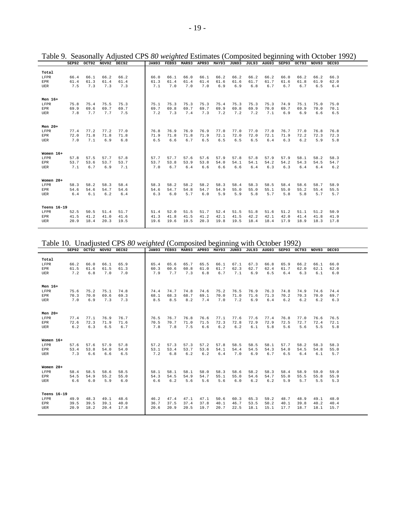|             |      | SEP92 OCT92 | NOV92 | DEC92 | <b>JAN93</b> | FEB93 | <b>MAR93</b> | APR93 | <b>MAY93</b> | JUN93 | JUL93 | <b>AUG93</b> | <b>SEP93</b> | OCT93 | NOV93 | DEC93 |  |
|-------------|------|-------------|-------|-------|--------------|-------|--------------|-------|--------------|-------|-------|--------------|--------------|-------|-------|-------|--|
|             |      |             |       |       |              |       |              |       |              |       |       |              |              |       |       |       |  |
| Total       |      |             |       |       |              |       |              |       |              |       |       |              |              |       |       |       |  |
| LFPR        | 66.4 | 66.1        | 66.2  | 66.2  | 66.0         | 66.1  | 66.0         | 66.1  | 66.2         | 66.2  | 66.2  | 66.2         | 66.0         | 66.2  | 66.2  | 66.3  |  |
| <b>EPR</b>  | 61.4 | 61.3        | 61.4  | 61.4  | 61.3         | 61.4  | 61.4         | 61.4  | 61.6         | 61.6  | 61.7  | 61.7         | 61.6         | 61.8  | 61.9  | 62.0  |  |
| <b>UER</b>  | 7.5  | 7.3         | 7.3   | 7.3   | 7.1          | 7.0   | 7.0          | 7.0   | 6.9          | 6.9   | 6.8   | 6.7          | 6.7          | 6.7   | 6.5   | 6.4   |  |
|             |      |             |       |       |              |       |              |       |              |       |       |              |              |       |       |       |  |
|             |      |             |       |       |              |       |              |       |              |       |       |              |              |       |       |       |  |
| Men 16+     |      |             |       |       |              |       |              |       |              |       |       |              |              |       |       |       |  |
| LFPR        | 75.8 | 75.4        | 75.5  | 75.3  | 75.1         | 75.3  | 75.3         | 75.3  | 75.4         | 75.3  | 75.3  | 75.3         | 74.9         | 75.1  | 75.0  | 75.0  |  |
| EPR         | 69.9 | 69.6        | 69.7  | 69.7  | 69.7         | 69.8  | 69.7         | 69.7  | 69.9         | 69.8  | 69.9  | 70.0         | 69.7         | 69.9  | 70.0  | 70.1  |  |
| UER         | 7.8  | 7.7         | 7.7   | 7.5   | 7.2          | 7.3   | 7.4          | 7.3   | 7.2          | 7.2   | 7.2   | 7.1          | 6.9          | 6.9   | 6.6   | 6.5   |  |
|             |      |             |       |       |              |       |              |       |              |       |       |              |              |       |       |       |  |
|             |      |             |       |       |              |       |              |       |              |       |       |              |              |       |       |       |  |
| Men $20+$   |      |             |       |       |              |       |              |       |              |       |       |              |              |       |       |       |  |
| LFPR        | 77.4 | 77.2        | 77.2  | 77.0  | 76.8         | 76.9  | 76.9         | 76.9  | 77.0         | 77.0  | 77.0  | 77.0         | 76.7         | 77.0  | 76.8  | 76.8  |  |
| <b>EPR</b>  | 72.0 | 71.8        | 71.8  | 71.8  | 71.9         | 71.8  | 71.8         | 71.9  | 72.1         | 72.0  | 72.0  | 72.1         | 71.9         | 72.2  | 72.3  | 72.3  |  |
| <b>UER</b>  | 7.0  | 7.1         | 6.9   | 6.8   | 6.5          | 6.6   | 6.7          | 6.5   | 6.5          | 6.5   | 6.5   | 6.4          | 6.3          | 6.2   | 5.9   | 5.8   |  |
|             |      |             |       |       |              |       |              |       |              |       |       |              |              |       |       |       |  |
|             |      |             |       |       |              |       |              |       |              |       |       |              |              |       |       |       |  |
| Women 16+   |      |             |       |       |              |       |              |       |              |       |       |              |              |       |       |       |  |
| LFPR        | 57.8 | 57.5        | 57.7  | 57.8  | 57.7         | 57.7  | 57.6         | 57.6  | 57.9         | 57.8  | 57.8  | 57.9         | 57.9         | 58.1  | 58.2  | 58.3  |  |
| <b>EPR</b>  | 53.7 | 53.6        | 53.7  | 53.7  | 53.7         | 53.8  | 53.9         | 53.8  | 54.0         | 54.1  | 54.1  | 54.2         | 54.2         | 54.3  | 54.5  | 54.7  |  |
| UER         | 7.1  | 6.7         | 6.9   | 7.1   | 7.0          | 6.7   | 6.4          | 6.6   | 6.6          | 6.6   | 6.4   | 6.3          | 6.3          | 6.4   | 6.4   | 6.2   |  |
|             |      |             |       |       |              |       |              |       |              |       |       |              |              |       |       |       |  |
|             |      |             |       |       |              |       |              |       |              |       |       |              |              |       |       |       |  |
| Women 20+   |      |             |       |       |              |       |              |       |              |       |       |              |              |       |       |       |  |
| LFPR        | 58.3 | 58.2        | 58.3  | 58.4  | 58.3         | 58.2  | 58.2         | 58.2  | 58.3         | 58.4  | 58.3  | 58.5         | 58.4         | 58.6  | 58.7  | 58.9  |  |
| <b>EPR</b>  | 54.6 | 54.6        | 54.7  | 54.6  | 54.6         | 54.7  | 54.8         | 54.7  | 54.9         | 55.0  | 55.0  | 55.1         | 55.0         | 55.2  | 55.4  | 55.5  |  |
| <b>UER</b>  | 6.4  | 6.1         | 6.2   | 6.4   | 6.3          | 6.0   | 5.7          | 6.0   | 5.9          | 5.9   | 5.8   | 5.7          | 5.8          | 5.8   | 5.7   | 5.7   |  |
|             |      |             |       |       |              |       |              |       |              |       |       |              |              |       |       |       |  |
|             |      |             |       |       |              |       |              |       |              |       |       |              |              |       |       |       |  |
| Teens 16-19 |      |             |       |       |              |       |              |       |              |       |       |              |              |       |       |       |  |
|             |      |             |       |       |              |       |              |       |              |       |       |              |              |       |       |       |  |
| LFPR        | 52.5 | 50.5        | 51.4  | 51.7  | 51.4         | 52.0  | 51.5         | 51.7  | 52.4         | 51.5  | 51.8  | 51.6         | 51.2         | 51.1  | 51.2  | 50.9  |  |
| <b>EPR</b>  | 41.5 | 41.2        | 41.0  | 41.6  | 41.3         | 41.8  | 41.5         | 41.2  | 42.1         | 41.5  | 42.2  | 42.1         | 42.0         | 41.4  | 41.8  | 41.9  |  |
| <b>UER</b>  | 20.9 | 18.4        | 20.3  | 19.5  | 19.6         | 19.6  | 19.5         | 20.3  | 19.8         | 19.5  | 18.4  | 18.4         | 17.9         | 18.9  | 18.3  | 17.8  |  |
|             |      |             |       |       |              |       |              |       |              |       |       |              |              |       |       |       |  |

Table 9. Seasonally Adjusted CPS *80 weighted* Estimates (Composited beginning with October 1992)

Table 10. Unadjusted CPS *80 weighted* (Composited beginning with October 1992)

| Table To. Onacjusted CLD ob <i>weighted</i> (Composited ocgniting with October 1772) |      |      |                         |      |      |      |                                                                   |      |      |      |      |      |      |      |      |       |  |
|--------------------------------------------------------------------------------------|------|------|-------------------------|------|------|------|-------------------------------------------------------------------|------|------|------|------|------|------|------|------|-------|--|
|                                                                                      |      |      | SEP92 OCT92 NOV92 DEC92 |      |      |      | JAN93 FEB93 MAR93 APR93 MAY93 JUN93 JUL93 AUG93 SEP93 OCT93 NOV93 |      |      |      |      |      |      |      |      | DEC93 |  |
|                                                                                      |      |      |                         |      |      |      |                                                                   |      |      |      |      |      |      |      |      |       |  |
| Total                                                                                |      |      |                         |      |      |      |                                                                   |      |      |      |      |      |      |      |      |       |  |
| LFPR                                                                                 | 66.2 | 66.0 | 66.1                    | 65.9 | 65.4 | 65.6 | 65.7                                                              | 65.5 | 66.1 | 67.1 | 67.3 | 66.8 | 65.9 | 66.2 | 66.1 | 66.0  |  |
| EPR                                                                                  | 61.5 | 61.6 | 61.5                    | 61.3 | 60.3 | 60.6 | 60.8                                                              | 61.0 | 61.7 | 62.3 | 62.7 | 62.4 | 61.7 | 62.0 | 62.1 | 62.0  |  |
| UER                                                                                  | 7.2  | 6.8  | 7.0                     | 7.0  | 7.9  | 7.7  | 7.3                                                               | 6.8  | 6.7  | 7.1  | 6.9  | 6.5  | 6.4  | 6.3  | 6.1  | 6.0   |  |
|                                                                                      |      |      |                         |      |      |      |                                                                   |      |      |      |      |      |      |      |      |       |  |
|                                                                                      |      |      |                         |      |      |      |                                                                   |      |      |      |      |      |      |      |      |       |  |
| Men 16+                                                                              |      |      |                         |      |      |      |                                                                   |      |      |      |      |      |      |      |      |       |  |
| LFPR                                                                                 | 75.6 | 75.2 | 75.1                    | 74.8 | 74.4 | 74.7 | 74.8                                                              | 74.6 | 75.2 | 76.5 | 76.9 | 76.3 | 74.8 | 74.9 | 74.6 | 74.4  |  |
| EPR                                                                                  | 70.3 | 70.0 | 69.6                    | 69.3 | 68.1 | 68.3 | 68.7                                                              | 69.1 | 70.0 | 71.0 | 71.6 | 71.3 | 70.2 | 70.3 | 70.0 | 69.7  |  |
| UER                                                                                  | 7.0  | 6.9  | 7.3                     | 7.3  | 8.5  | 8.5  | 8.2                                                               | 7.4  | 7.0  | 7.2  | 6.9  | 6.4  | 6.2  | 6.2  | 6.2  | 6.3   |  |
|                                                                                      |      |      |                         |      |      |      |                                                                   |      |      |      |      |      |      |      |      |       |  |
|                                                                                      |      |      |                         |      |      |      |                                                                   |      |      |      |      |      |      |      |      |       |  |
| Men 20+                                                                              |      |      |                         |      |      |      |                                                                   |      |      |      |      |      |      |      |      |       |  |
| LFPR                                                                                 | 77.4 | 77.1 | 76.9                    | 76.7 | 76.5 | 76.7 | 76.8                                                              | 76.6 | 77.1 | 77.6 | 77.6 | 77.4 | 76.8 | 77.0 | 76.6 | 76.5  |  |
| EPR                                                                                  | 72.6 | 72.3 | 71.9                    | 71.6 | 70.5 | 70.7 | 71.0                                                              | 71.5 | 72.3 | 72.8 | 72.9 | 72.9 | 72.5 | 72.7 | 72.4 | 72.1  |  |
| UER                                                                                  | 6.2  | 6.3  | 6.5                     | 6.7  | 7.8  | 7.8  | 7.5                                                               | 6.6  | 6.2  | 6.2  | 6.1  | 5.8  | 5.6  | 5.6  | 5.5  | 5.8   |  |
|                                                                                      |      |      |                         |      |      |      |                                                                   |      |      |      |      |      |      |      |      |       |  |
|                                                                                      |      |      |                         |      |      |      |                                                                   |      |      |      |      |      |      |      |      |       |  |
| Women 16+                                                                            |      |      |                         |      |      |      |                                                                   |      |      |      |      |      |      |      |      |       |  |
| LFPR                                                                                 | 57.6 | 57.6 | 57.9                    | 57.8 | 57.2 | 57.3 | 57.3                                                              | 57.2 | 57.8 | 58.5 | 58.5 | 58.1 | 57.7 | 58.2 | 58.3 | 58.3  |  |
| EPR                                                                                  | 53.4 | 53.8 | 54.0                    | 54.0 | 53.1 | 53.4 | 53.7                                                              | 53.6 | 54.1 | 54.4 | 54.5 | 54.3 | 54.0 | 54.5 | 54.8 | 55.0  |  |
| UER                                                                                  | 7.3  | 6.6  | 6.6                     | 6.5  | 7.2  | 6.8  | 6.2                                                               | 6.2  | 6.4  | 7.0  | 6.9  | 6.7  | 6.5  | 6.4  | 6.1  | 5.7   |  |
|                                                                                      |      |      |                         |      |      |      |                                                                   |      |      |      |      |      |      |      |      |       |  |
|                                                                                      |      |      |                         |      |      |      |                                                                   |      |      |      |      |      |      |      |      |       |  |
| Women $20+$                                                                          |      |      |                         |      |      |      |                                                                   |      |      |      |      |      |      |      |      |       |  |
| LFPR                                                                                 | 58.4 | 58.5 | 58.6                    | 58.5 | 58.1 | 58.1 | 58.1                                                              | 58.0 | 58.3 | 58.6 | 58.2 | 58.3 | 58.4 | 58.9 | 59.0 | 59.0  |  |
| EPR                                                                                  | 54.5 | 54.9 | 55.2                    | 55.0 | 54.3 | 54.5 | 54.9                                                              | 54.7 | 55.1 | 55.0 | 54.6 | 54.7 | 55.0 | 55.5 | 55.8 | 55.9  |  |
|                                                                                      | 6.6  | 6.0  | 5.9                     | 6.0  | 6.6  | 6.2  | 5.6                                                               | 5.6  | 5.6  | 6.0  | 6.2  | 6.2  | 5.9  | 5.7  | 5.5  | 5.3   |  |
| UER                                                                                  |      |      |                         |      |      |      |                                                                   |      |      |      |      |      |      |      |      |       |  |
|                                                                                      |      |      |                         |      |      |      |                                                                   |      |      |      |      |      |      |      |      |       |  |
| Teens 16-19                                                                          |      |      |                         |      |      |      |                                                                   |      |      |      |      |      |      |      |      |       |  |
|                                                                                      |      |      |                         |      |      |      |                                                                   |      |      |      |      |      |      |      |      |       |  |
| LFPR                                                                                 | 49.9 | 48.3 | 49.1                    | 48.6 | 46.2 | 47.4 | 47.1                                                              | 47.1 | 50.6 | 60.3 | 65.3 | 59.2 | 48.7 | 48.9 | 49.1 | 48.0  |  |
| EPR                                                                                  | 39.5 | 39.5 | 39.1                    | 40.0 | 36.7 | 37.5 | 37.4                                                              | 37.8 | 40.1 | 46.7 | 53.5 | 50.2 | 40.1 | 39.8 | 40.2 | 40.4  |  |
| UER                                                                                  | 20.9 | 18.2 | 20.4                    | 17.8 | 20.6 | 20.9 | 20.5                                                              | 19.7 | 20.7 | 22.5 | 18.1 | 15.1 | 17.7 | 18.7 | 18.1 | 15.7  |  |
|                                                                                      |      |      |                         |      |      |      |                                                                   |      |      |      |      |      |      |      |      |       |  |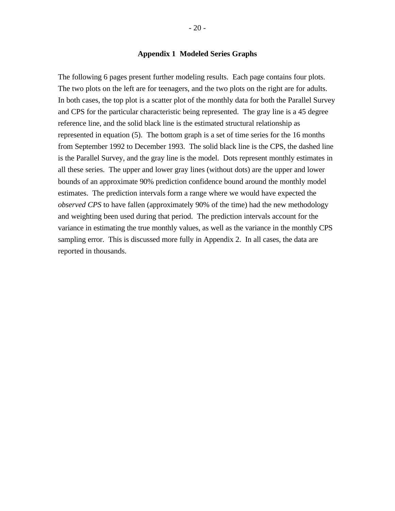### **Appendix 1 Modeled Series Graphs**

The following 6 pages present further modeling results. Each page contains four plots. The two plots on the left are for teenagers, and the two plots on the right are for adults. In both cases, the top plot is a scatter plot of the monthly data for both the Parallel Survey and CPS for the particular characteristic being represented. The gray line is a 45 degree reference line, and the solid black line is the estimated structural relationship as represented in equation (5). The bottom graph is a set of time series for the 16 months from September 1992 to December 1993. The solid black line is the CPS, the dashed line is the Parallel Survey, and the gray line is the model. Dots represent monthly estimates in all these series. The upper and lower gray lines (without dots) are the upper and lower bounds of an approximate 90% prediction confidence bound around the monthly model estimates. The prediction intervals form a range where we would have expected the *observed CPS* to have fallen (approximately 90% of the time) had the new methodology and weighting been used during that period. The prediction intervals account for the variance in estimating the true monthly values, as well as the variance in the monthly CPS sampling error. This is discussed more fully in Appendix 2. In all cases, the data are reported in thousands.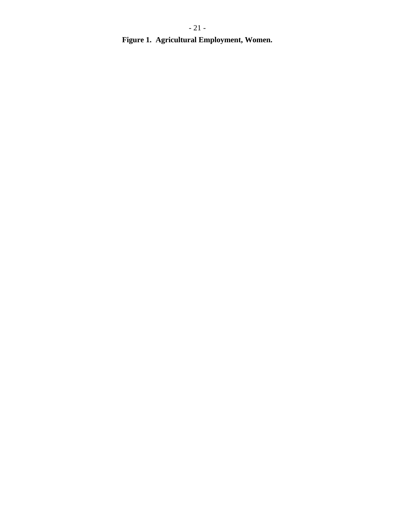**Figure 1. Agricultural Employment, Women.**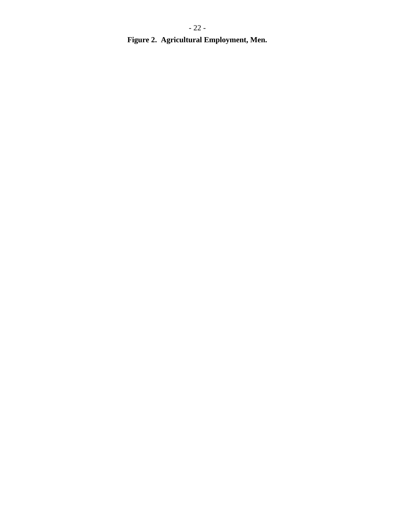**Figure 2. Agricultural Employment, Men.**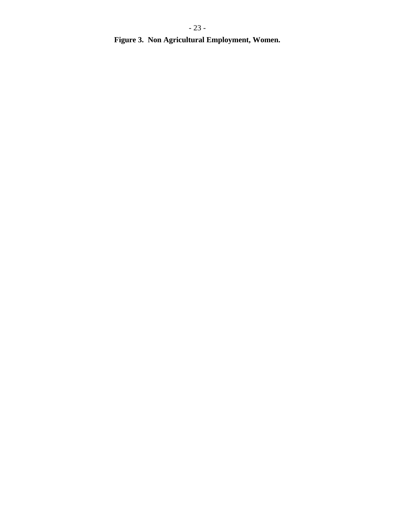**Figure 3. Non Agricultural Employment, Women.**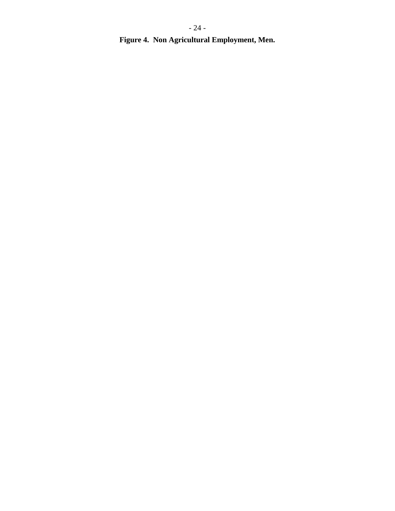**Figure 4. Non Agricultural Employment, Men.**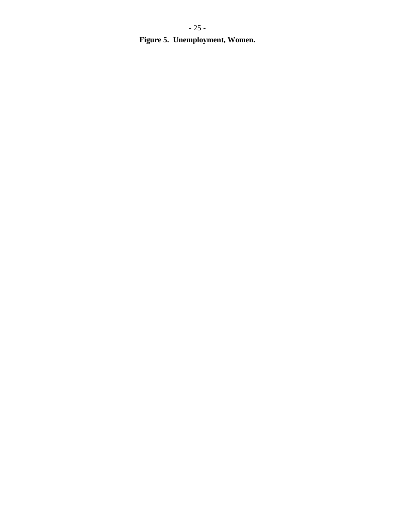**Figure 5. Unemployment, Women.**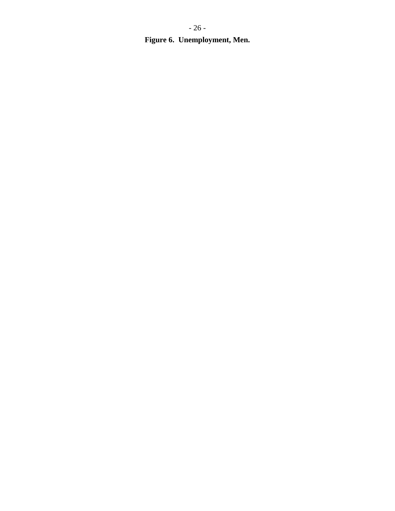**Figure 6. Unemployment, Men.**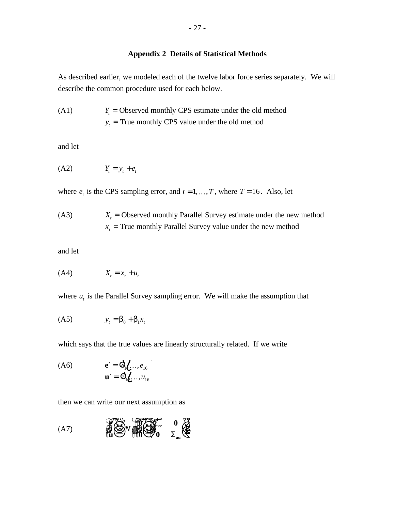# **Appendix 2 Details of Statistical Methods**

As described earlier, we modeled each of the twelve labor force series separately. We will describe the common procedure used for each below.

(A1) 
$$
Y_t
$$
 = Observed monthly CPS estimate under the old method  $y_t$  = True monthly CPS value under the old method

and let

$$
(A2) \t Y_t = y_t + e_t
$$

where  $e_t$  is the CPS sampling error, and  $t = 1, ..., T$ , where  $T = 16$ . Also, let

(A3) 
$$
X_t
$$
 = Observed monthly Parallel Survey estimate under the new method  $x_t$  = True monthly Parallel Survey value under the new method

and let

$$
(A4) \t\t X_t = x_t + u_t
$$

where  $u_t$  is the Parallel Survey sampling error. We will make the assumption that

$$
(A5) \t yt = b0 + b1xt
$$

which says that the true values are linearly structurally related. If we write

$$
\begin{array}{ll}\n\text{(A6)} & \mathbf{e'} = \mathbf{Q}_1 \mathbf{L} \dots, e_{16} \\
\mathbf{u'} = \mathbf{Q}_1 \mathbf{L} \dots, u_{16}\n\end{array}
$$

then we can write our next assumption as

$$
(A7)\qquad \qquad \overbrace{\stackrel{\circ}{\mathfrak{M}}}\overset{\circ}{\underset{\mathfrak{M}}{\bigoplus}}\mathbf{V}\overset{\circ}{\underset{\mathfrak{M}}{\mathfrak{M}}}\overset{\circ}{\underset{\mathfrak{M}}{\bigoplus}}\overset{0}{\underset{\mathfrak{L}_{uu}}{\bigoplus}}\overset{\circ}{\underset{\mathfrak{L}}{\bigoplus}}.
$$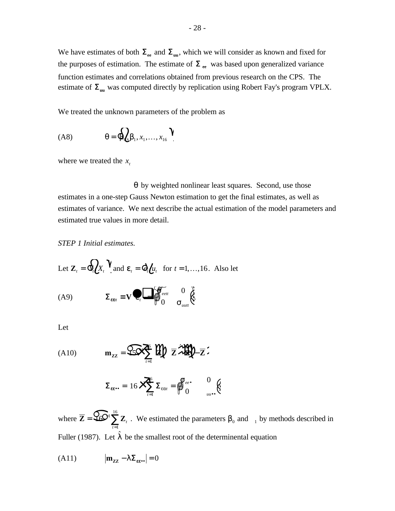We have estimates of both  $\Sigma_{ee}$  and  $\Sigma_{uu}$ , which we will consider as known and fixed for the purposes of estimation. The estimate of  $\Sigma$ <sub>ee</sub> was based upon generalized variance function estimates and correlations obtained from previous research on the CPS. The estimate of  $\Sigma$ <sub>uu</sub> was computed directly by replication using Robert Fay's program VPLX.

We treated the unknown parameters of the problem as

$$
(A8) \tq = \bigotimes_{i=1}^{n} b_{i}, x_{i}, \ldots, x_{16} \bigvee
$$

where we treated the  $x_t$ 

*q* by weighted nonlinear least squares. Second, use those estimates in a one-step Gauss Newton estimation to get the final estimates, as well as estimates of variance. We next describe the actual estimation of the model parameters and estimated true values in more detail.

*uutt*

*s*

0

*STEP 1 Initial estimates.*

Let 
$$
\mathbf{Z}_t = \mathbf{\Phi}_t \mathbf{\hat{Z}}_t \mathbf{Y}
$$
 and  $\mathbf{\varepsilon}_t = \mathbf{\Phi}_t \mathbf{\hat{U}}_t$  for  $t = 1,...,16$ . Also let  
\n(A9) 
$$
\Sigma_{\text{cent}} = \mathbf{V} \mathbf{\Phi}_t \mathbf{\Phi}_{\text{out}} \mathbf{\hat{S}}_{\text{out}} \mathbf{\hat{S}}_{\text{out}} \mathbf{\hat{S}}_{\text{out}}.
$$

Let

(A10) 
$$
\mathbf{m}_{zz} = \mathbf{S} \mathbf{S} \mathbf{X}^6 \mathbf{W} \mathbf{Z} \mathbf{X}^7 \mathbf{W} - \mathbf{Z} \mathbf{Z}
$$

$$
\Sigma_{\epsilon \epsilon \bullet \bullet} = 16 \mathbf{X} \sum_{t=1}^6 \Sigma_{\epsilon \epsilon t t} = \begin{matrix} 0 \\ 0 \end{matrix} e^{\epsilon \bullet} \qquad \begin{matrix} 0 \\ 0 \end{matrix} \begin{matrix} 0 \\ 0 \end{matrix}
$$

where  $\overline{Z} = \mathcal{L} \mathcal{L}^1 \sum Z$  $\sum_{t=1}^L$ 1  $\mathcal{Q}$ <sup>16</sup> $\sum t_i$ *t* . We estimated the parameters  $b_0$  and  $1$  by methods described in Fuller (1987). Let  $\hat{\mathsf{l}}$  be the smallest root of the determinental equation

$$
(A11) \qquad |\mathbf{m}_{\mathbf{ZZ}} - \mathbf{1} \Sigma_{\mathbf{\epsilon} \mathbf{\epsilon} \bullet}| = 0
$$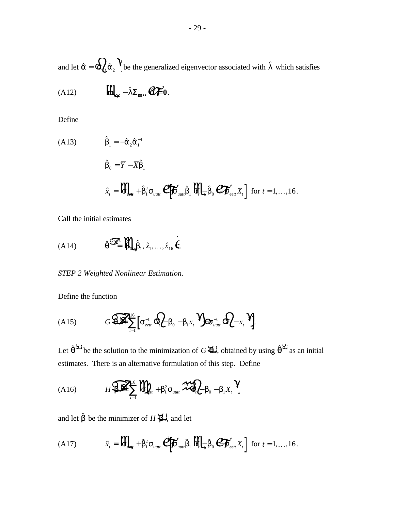and let  $\hat{\alpha} = \hat{Q}_c \hat{a}_2$   $\hat{A}$  be the generalized eigenvector associated with  $\hat{I}$  which satisfies

(A12) 
$$
\iint_{\mathbf{Z}} - \hat{\mathbf{L}} \Sigma_{\varepsilon \varepsilon \cdot \cdot} \mathbf{C} \mathbf{F}' \cdot \mathbf{0}.
$$

Define

(A13)  
\n
$$
\hat{b}_1 = -\hat{a}_2 \hat{a}_1^{-1}
$$
\n
$$
\hat{b}_0 = \overline{Y} - \overline{X} \hat{b}_1
$$
\n
$$
\hat{x}_t = \prod_{k=1}^{\infty} \sum_{i=1}^{\infty} \sum_{i=1}^{\infty} \sum_{i=1}^{\infty} \sum_{j=1}^{\infty} \hat{b}_j \prod_{k=1}^{\infty} \hat{b}_k \hat{b}_k \widehat{C} \widehat{C} \widehat{C} \widehat{C} \widehat{C} \widehat{C} \widehat{C} \widehat{C} \widehat{C} \widehat{C} \widehat{C} \widehat{C} \widehat{C} \widehat{C} \widehat{C} \widehat{C} \widehat{C} \widehat{C} \widehat{C} \widehat{C} \widehat{C} \widehat{C} \widehat{C} \widehat{C} \widehat{C} \widehat{C} \widehat{C} \widehat{C} \widehat{C} \widehat{C} \widehat{C} \widehat{C} \widehat{C} \widehat{C} \widehat{C} \widehat{C} \widehat{C} \widehat{C} \widehat{C} \widehat{C} \widehat{C} \widehat{C} \widehat{C} \widehat{C} \widehat{C} \widehat{C} \widehat{C} \widehat{C} \widehat{C} \widehat{C} \widehat{C} \widehat{C} \widehat{C} \widehat{C} \widehat{C} \widehat{C} \widehat{C} \widehat{C} \widehat{C} \widehat{C} \widehat{C} \widehat{C} \widehat{C} \widehat{C} \widehat{C} \widehat{C} \widehat{C} \widehat{C} \widehat{C} \widehat{C} \widehat{C} \widehat{C} \widehat{C} \widehat{C} \widehat{C} \widehat{C} \widehat{C} \widehat{C} \widehat{C} \widehat{C} \widehat{C} \widehat{C} \widehat{C} \widehat{C} \widehat{C} \widehat{C} \widehat{C} \widehat{C} \widehat{C} \widehat{C} \widehat{C} \widehat{C} \widehat{C} \widehat{C} \widehat{C} \widehat{C} \widehat{C} \widehat{C} \widehat
$$

Call the initial estimates

(A14) 
$$
\hat{\theta}^{\mathcal{B}} = \mathbf{H}_{\mathbf{Q}, \hat{\mathbf{p}}_1, \hat{x}_1, \dots, \hat{x}_{16}} \hat{\boldsymbol{\xi}}
$$

*STEP 2 Weighted Nonlinear Estimation.*

Define the function

$$
(A15) \tG\widehat{\bigoplus_{t=1}^{N}}\left[s_{\text{text}}^{-1}\bigoplus_{t} b_{0}-b_{1}x_{t}\bigoplus_{uut}\bigoplus_{uut}\bigoplus_{x}x_{t}\bigoplus_{u}
$$

Let  $\hat{\theta}^{\mathcal{Q}}$  be the solution to the minimization of *G***A**, obtained by using  $\hat{\theta}^{\mathcal{Q}}$  as an initial estimates. There is an alternative formulation of this step. Define

(A16) 
$$
H\left(\sum_{i=1}^{\infty}\prod_{i=1}^{16}\prod_{m=1}^{6}b_{m}^{2}S_{m m}^{m} \right) = b_{1} \sum_{i=1}^{6} b_{i}^{2} - b_{1} X_{i} Y_{i}
$$

and let  $\tilde{\beta}$  be the minimizer of *H* $\sharp$ , and let

(A17) 
$$
\tilde{x}_t = \mathbf{W}_{\text{max}} + \tilde{b}_1^2 s_{\text{unit}} \mathbf{Q} \mathbf{F}_{\text{unit}} \tilde{b}_1 \mathbf{W}_t \mathbf{L} \tilde{b}_0 \mathbf{Q} \mathbf{F}_{\text{cent}} X_t \text{ for } t = 1, ..., 16.
$$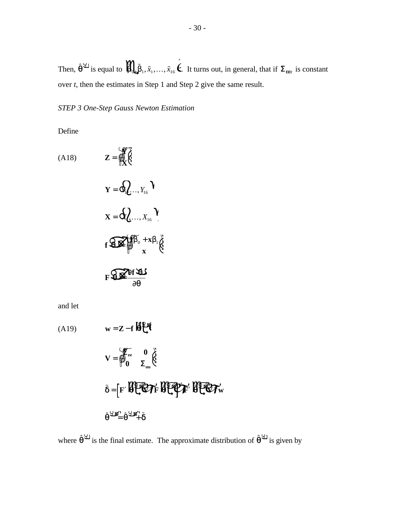Then,  $\hat{\theta}^{\mathcal{L}}$  is equal to  $\prod_{i=1}^{M} \tilde{b}_1, \tilde{x}_1, \ldots, \tilde{x}_{16}$   $\vec{k}$ . It turns out, in general, that if  $\Sigma_{\epsilon \epsilon \tau i}$  is constant over *t*, then the estimates in Step 1 and Step 2 give the same result.

*STEP 3 One-Step Gauss Newton Estimation*

Define

(A18)  
\n
$$
\mathbf{Z} = \bigotimes_{1}^{3} \mathbf{R}
$$
\n
$$
\mathbf{Y} = \mathbf{Q}_{1} \mathbf{Q} \dots, Y_{16}
$$
\n
$$
\mathbf{X} = \mathbf{Q}_{2} \dots, X_{16}
$$
\n
$$
\mathbf{f} \mathbf{Q} \mathbf{Q} \mathbf{Q} \mathbf{I} \mathbf{f} \mathbf{D}_{0} + \mathbf{X} \mathbf{D}_{1} \mathbf{Q}
$$
\n
$$
\mathbf{F} \mathbf{Q} \mathbf{Q} \mathbf{I} \mathbf{f} \mathbf{H} \mathbf{L} \mathbf{I}
$$

and let

(A19)  
\n
$$
\mathbf{w} = \mathbf{Z} - \mathbf{f} \mathbf{H} \mathbf{H}
$$
\n
$$
\mathbf{V} = \oint_0^{\infty} \sum_{u=1}^{\infty} \mathbf{0} \mathbf{F} \mathbf{H} \mathbf{H}
$$
\n
$$
\tilde{\delta} = \left[ \mathbf{F}' \mathbf{H} \mathbf{H} \mathbf{H} \mathbf{H} \mathbf{H} \mathbf{H} \mathbf{H} \mathbf{H} \mathbf{H} \mathbf{H} \mathbf{H} \mathbf{H} \mathbf{H} \mathbf{H} \mathbf{H} \mathbf{H} \mathbf{H} \mathbf{H} \mathbf{H} \mathbf{H} \mathbf{H} \mathbf{H} \mathbf{H} \mathbf{H} \mathbf{H} \mathbf{H} \mathbf{H} \mathbf{H} \mathbf{H} \mathbf{H} \mathbf{H} \mathbf{H} \mathbf{H} \mathbf{H} \mathbf{H} \mathbf{H} \mathbf{H} \mathbf{H} \mathbf{H} \mathbf{H} \mathbf{H} \mathbf{H} \mathbf{H} \mathbf{H} \mathbf{H} \mathbf{H} \mathbf{H} \mathbf{H} \mathbf{H} \mathbf{H} \mathbf{H} \mathbf{H} \mathbf{H} \mathbf{H} \mathbf{H} \mathbf{H} \mathbf{H} \mathbf{H} \mathbf{H} \mathbf{H} \mathbf{H} \mathbf{H} \mathbf{H} \mathbf{H} \mathbf{H} \mathbf{H} \mathbf{H} \mathbf{H} \mathbf{H} \mathbf{H} \mathbf{H} \mathbf{H} \mathbf{H} \mathbf{H} \mathbf{H} \mathbf{H} \mathbf{H} \mathbf{H} \mathbf{H} \mathbf{H} \mathbf{H} \mathbf{H} \mathbf{H} \mathbf{H} \mathbf{H} \mathbf{H} \mathbf{H} \mathbf{H} \mathbf{H} \mathbf{H} \mathbf{H} \mathbf{H} \mathbf{H} \mathbf{H} \mathbf{H} \mathbf{H} \mathbf{H} \mathbf{H} \mathbf{H} \mathbf{H} \mathbf{H} \mathbf{H} \mathbf{H} \mathbf{H} \mathbf{H} \mathbf{H} \
$$

where  $\hat{\theta}^{\mathcal{Q}}$  is the final estimate. The approximate distribution of  $\hat{\theta}^{\mathcal{Q}}$  is given by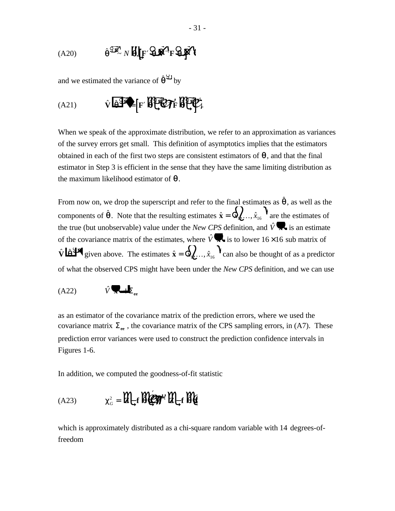$$
(A20) \qquad \hat{\theta}^{\mathcal{Q} \mathcal{R}} \wedge \hat{\theta} \Big( \mathbf{F}^{\prime} \mathbf{Q} \mathbf{F}^{\prime} \mathbf{F} \mathbf{Q} \mathbf{F}^{\prime} \Big)
$$

and we estimated the variance of  $\hat{\theta}^{\mathcal{Q}}$  by

$$
(A21) \qquad \hat{v} \widehat{a} \widehat{\mathbf{I}^*} \Big[ F' \widehat{f} \widehat{f} \widehat{f} \widehat{f} \widehat{f} \widehat{f} \widehat{f} \widehat{f} \widehat{f} \widehat{f} \widehat{f} \widehat{f} \widehat{f} \widehat{f} \widehat{f} \widehat{f} \widehat{f} \widehat{f} \widehat{f} \widehat{f} \widehat{f} \widehat{f} \widehat{f} \widehat{f} \widehat{f} \widehat{f} \widehat{f} \widehat{f} \widehat{f} \widehat{f} \widehat{f} \widehat{f} \widehat{f} \widehat{f} \widehat{f} \widehat{f} \widehat{f} \widehat{f} \widehat{f} \widehat{f} \widehat{f} \widehat{f} \widehat{f} \widehat{f} \widehat{f} \widehat{f} \widehat{f} \widehat{f} \widehat{f} \widehat{f} \widehat{f} \widehat{f} \widehat{f} \widehat{f} \widehat{f} \widehat{f} \widehat{f} \widehat{f} \widehat{f} \widehat{f} \widehat{f} \widehat{f} \widehat{f} \widehat{f} \widehat{f} \widehat{f} \widehat{f} \widehat{f} \widehat{f} \widehat{f} \widehat{f} \widehat{f} \widehat{f} \widehat{f} \widehat{f} \widehat{f} \widehat{f} \widehat{f} \widehat{f} \widehat{f} \widehat{f} \widehat{f} \widehat{f} \widehat{f} \widehat{f} \widehat{f} \widehat{f} \widehat{f} \widehat{f} \widehat{f} \widehat{f} \widehat{f} \widehat{f} \widehat{f} \widehat{f} \widehat{f} \widehat{f} \widehat{f} \widehat{f} \widehat{f} \widehat{f} \widehat{f} \widehat{f} \widehat{f} \widehat{f} \widehat{f} \widehat{f} \widehat{f} \widehat{f} \widehat{f} \widehat{f} \widehat{f} \widehat{f} \widehat{f} \widehat{f} \widehat{f} \widehat{f} \widehat{f} \widehat{f} \widehat{f} \widehat{
$$

When we speak of the approximate distribution, we refer to an approximation as variances of the survey errors get small. This definition of asymptotics implies that the estimators obtained in each of the first two steps are consistent estimators of  $\theta$ , and that the final estimator in Step 3 is efficient in the sense that they have the same limiting distribution as the maximum likelihood estimator of  $\theta$ .

From now on, we drop the superscript and refer to the final estimates as  $\hat{\theta}$ , as well as the components of  $\hat{\theta}$ . Note that the resulting estimates  $\hat{\mathbf{x}} = \mathbf{\hat{Q}}_1 \cdot \cdot \cdot \cdot \cdot \cdot \cdot$ ,  $\hat{x}_{16}$  are the estimates of the true (but unobservable) value under the *New CPS* definition, and  $\hat{V}$ , is an estimate of the covariance matrix of the estimates, where  $\hat{V}$  is to lower 16 × 16 sub matrix of  $\hat{\mathbf{V}}$  **lates** given above. The estimates  $\hat{\mathbf{x}} = \mathbf{Q}$ ,  $\hat{x}_{16}$ ,  $\hat{x}_{16}$  an also be thought of as a predictor of what the observed CPS might have been under the *New CPS* definition, and we can use

$$
(A22) \qquad \hat{V} \blacktriangleright \mathbf{L}_{ee}
$$

as an estimator of the covariance matrix of the prediction errors, where we used the covariance matrix  $\Sigma_{ee}$ , the covariance matrix of the CPS sampling errors, in (A7). These prediction error variances were used to construct the prediction confidence intervals in Figures 1-6.

In addition, we computed the goodness-of-fit statistic

$$
(A23) \tC_G^2 = \mathbf{W} \mathbf{F} \mathbf{H} \mathbf{F} \mathbf{F} \mathbf{F} \mathbf{F}
$$

which is approximately distributed as a chi-square random variable with 14 degrees-offreedom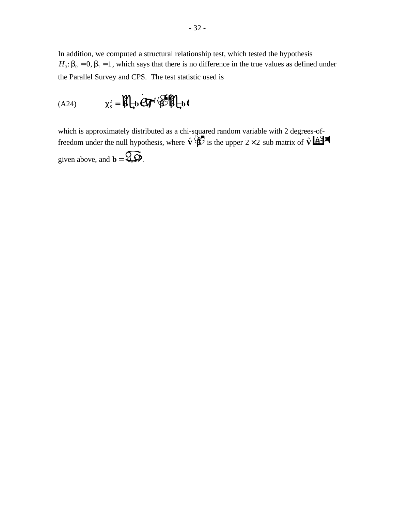In addition, we computed a structural relationship test, which tested the hypothesis  $H_0$ :  $b_0 = 0$ ,  $b_1 = 1$ , which says that there is no difference in the true values as defined under the Parallel Survey and CPS. The test statistic used is

$$
(A24) \tC_s^2 = \iint_{\mathbf{b}} \mathbf{A} \mathbf{B} \mathbf{B} \mathbf{A} \mathbf{B}
$$

which is approximately distributed as a chi-squared random variable with 2 degrees-offreedom under the null hypothesis, where  $\hat{\mathbf{V}}(\hat{\mathbf{B}})$  is the upper 2 × 2 sub matrix of  $\hat{\mathbf{V}}$   $\hat{\mathbf{B}}$ <sup>3</sup> given above, and  $\mathbf{b} = \mathbf{Q} \mathbf{D}$ .